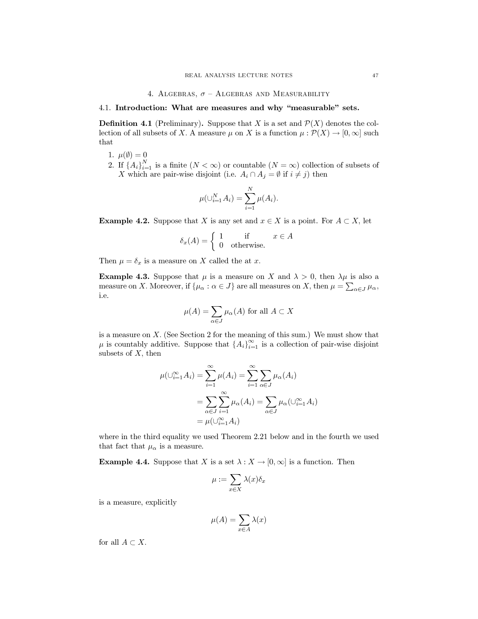## 4. ALGEBRAS,  $\sigma$  - ALGEBRAS AND MEASURABILITY

# 4.1. Introduction: What are measures and why "measurable" sets.

**Definition 4.1** (Preliminary). Suppose that X is a set and  $\mathcal{P}(X)$  denotes the collection of all subsets of X. A measure  $\mu$  on X is a function  $\mu : \mathcal{P}(X) \to [0, \infty]$  such that

- 1.  $\mu(\emptyset) = 0$
- 2. If  $\{A_i\}_{i=1}^N$  is a finite  $(N < \infty)$  or countable  $(N = \infty)$  collection of subsets of X which are pair-wise disjoint (i.e.  $A_i \cap A_j = \emptyset$  if  $i \neq j$ ) then

$$
\mu(\cup_{i=1}^N A_i) = \sum_{i=1}^N \mu(A_i)
$$

**Example 4.2.** Suppose that X is any set and  $x \in X$  is a point. For  $A \subset X$ , let

$$
\delta_x(A) = \begin{cases} 1 & \text{if } x \in A \\ 0 & \text{otherwise.} \end{cases}
$$

Then  $\mu = \delta_x$  is a measure on X called the at x.

**Example 4.3.** Suppose that  $\mu$  is a measure on X and  $\lambda > 0$ , then  $\lambda \mu$  is also a measure on X. Moreover, if  $\{\mu_{\alpha} : \alpha \in J\}$  are all measures on X, then  $\mu = \sum_{\alpha \in J} \mu_{\alpha}$ , i.e.

$$
\mu(A) = \sum_{\alpha \in J} \mu_{\alpha}(A) \text{ for all } A \subset X
$$

is a measure on  $X$ . (See Section 2 for the meaning of this sum.) We must show that  $\mu$  is countably additive. Suppose that  $\{A_i\}_{i=1}^{\infty}$  is a collection of pair-wise disjoint subsets of  $X$ , then

$$
\mu(\bigcup_{i=1}^{\infty} A_i) = \sum_{i=1}^{\infty} \mu(A_i) = \sum_{i=1}^{\infty} \sum_{\alpha \in J} \mu_{\alpha}(A_i)
$$

$$
= \sum_{\alpha \in J} \sum_{i=1}^{\infty} \mu_{\alpha}(A_i) = \sum_{\alpha \in J} \mu_{\alpha}(\bigcup_{i=1}^{\infty} A_i)
$$

$$
= \mu(\bigcup_{i=1}^{\infty} A_i)
$$

where in the third equality we used Theorem 2.21 below and in the fourth we used that fact that  $\mu_{\alpha}$  is a measure.

**Example 4.4.** Suppose that X is a set  $\lambda : X \to [0, \infty]$  is a function. Then

$$
\mu := \sum_{x \in X} \lambda(x) \delta_x
$$

is a measure, explicitly

$$
\mu(A) = \sum_{x \in A} \lambda(x)
$$

for all  $A \subset X$ .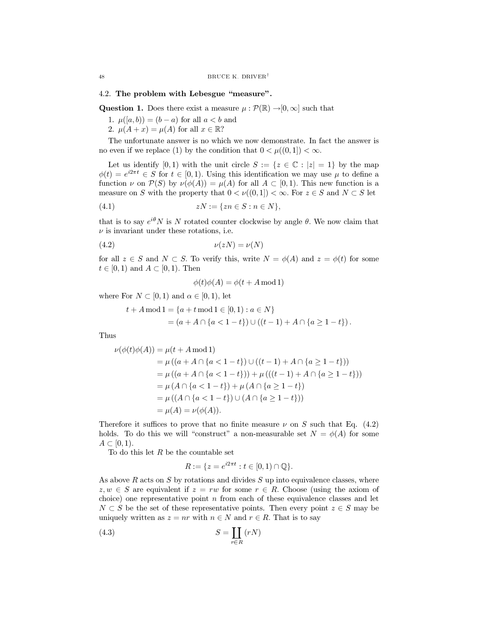## 4.2. The problem with Lebesgue "measure".

**Question 1.** Does there exist a measure  $\mu : \mathcal{P}(\mathbb{R}) \to [0, \infty]$  such that

- 1.  $\mu([a, b)) = (b a)$  for all  $a < b$  and
- 2.  $\mu(A+x) = \mu(A)$  for all  $x \in \mathbb{R}$ ?

The unfortunate answer is no which we now demonstrate. In fact the answer is no even if we replace (1) by the condition that  $0 < \mu((0,1]) < \infty$ .

Let us identify [0, 1) with the unit circle  $S := \{z \in \mathbb{C} : |z| = 1\}$  by the map  $\phi(t) = e^{i2\pi t} \in S$  for  $t \in [0,1)$ . Using this identification we may use  $\mu$  to define a function  $\nu$  on  $\mathcal{P}(S)$  by  $\nu(\phi(A)) = \mu(A)$  for all  $A \subset [0,1)$ . This new function is a measure on S with the property that  $0 < \nu((0,1]) < \infty$ . For  $z \in S$  and  $N \subset S$  let

$$
(4.1) \t\t\t\t\t zN := \{zn \in S : n \in N\}
$$

that is to say  $e^{i\theta}N$  is N rotated counter clockwise by angle  $\theta$ . We now claim that  $\nu$  is invariant under these rotations, i.e.

$$
(4.2) \t\t\t\nu(zN) = \nu(N)
$$

for all  $z \in S$  and  $N \subset S$ . To verify this, write  $N = \phi(A)$  and  $z = \phi(t)$  for some  $t \in [0,1)$  and  $A \subset [0,1)$ . Then

$$
\phi(t)\phi(A) = \phi(t + A \bmod 1)
$$

where For  $N \subset [0,1)$  and  $\alpha \in [0,1)$ , let

$$
t + A \mod 1 = \{a + t \mod 1 \in [0, 1) : a \in N\}
$$
  
=  $(a + A \cap \{a < 1 - t\}) \cup ((t - 1) + A \cap \{a \ge 1 - t\}).$ 

Thus

$$
\nu(\phi(t)\phi(A)) = \mu(t + A \mod 1)
$$
  
=  $\mu((a + A \cap \{a < 1 - t\}) \cup ((t - 1) + A \cap \{a \ge 1 - t\}))$   
=  $\mu((a + A \cap \{a < 1 - t\})) + \mu(((t - 1) + A \cap \{a \ge 1 - t\}))$   
=  $\mu(A \cap \{a < 1 - t\}) + \mu(A \cap \{a \ge 1 - t\})$   
=  $\mu((A \cap \{a < 1 - t\}) \cup (A \cap \{a \ge 1 - t\}))$   
=  $\mu(A) = \nu(\phi(A)).$ 

Therefore it suffices to prove that no finite measure  $\nu$  on S such that Eq. (4.2) holds. To do this we will "construct" a non-measurable set  $N = \phi(A)$  for some  $A\subset [0,1).$ 

To do this let  $R$  be the countable set

$$
R := \{ z = e^{i2\pi t} : t \in [0,1) \cap \mathbb{Q} \}.
$$

As above  $R$  acts on  $S$  by rotations and divides  $S$  up into equivalence classes, where  $z, w \in S$  are equivalent if  $z = rw$  for some  $r \in R$ . Choose (using the axiom of choice) one representative point  $n$  from each of these equivalence classes and let  $N\subset S$  be the set of these representative points. Then every point  $z\in S$  may be uniquely written as  $z = nr$  with  $n \in N$  and  $r \in R$ . That is to say

$$
(4.3)\t\t\t S = \coprod_{r \in R} (rN)
$$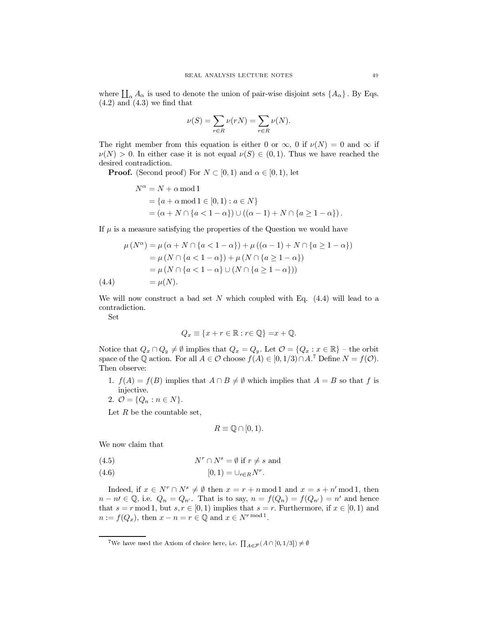where  $\prod_{\alpha} A_{\alpha}$  is used to denote the union of pair-wise disjoint sets  $\{A_{\alpha}\}\.$  By Eqs.  $(4.2)$  and  $(4.3)$  we find that

$$
\nu(S) = \sum_{r \in R} \nu(rN) = \sum_{r \in R} \nu(N).
$$

The right member from this equation is either 0 or  $\infty$ , 0 if  $\nu(N) = 0$  and  $\infty$  if  $\nu(N) > 0$ . In either case it is not equal  $\nu(S) \in (0,1)$ . Thus we have reached the desired contradiction.

**Proof.** (Second proof) For  $N \subset [0,1)$  and  $\alpha \in [0,1)$ , let

$$
N^{\alpha} = N + \alpha \mod 1
$$
  
= {a + \alpha \mod 1 \in [0, 1) : a \in N}  
= (\alpha + N \cap {a < 1 - \alpha} ) \cup ((\alpha - 1) + N \cap {a \ge 1 - \alpha}).

If  $\mu$  is a measure satisfying the properties of the Question we would have

$$
\mu(N^{\alpha}) = \mu(\alpha + N \cap \{a < 1 - \alpha\}) + \mu((\alpha - 1) + N \cap \{a \ge 1 - \alpha\})
$$
  
=  $\mu(N \cap \{a < 1 - \alpha\}) + \mu(N \cap \{a \ge 1 - \alpha\})$   
=  $\mu(N \cap \{a < 1 - \alpha\} \cup (N \cap \{a \ge 1 - \alpha\}))$   
(4.4) =  $\mu(N)$ .

We will now construct a bad set N which coupled with Eq.  $(4.4)$  will lead to a contradiction.

Set

$$
Q_x \equiv \{x + r \in \mathbb{R} : r \in \mathbb{Q}\} = x + \mathbb{Q}.
$$

Notice that  $Q_x \cap Q_y \neq \emptyset$  implies that  $Q_x = Q_y$ . Let  $\mathcal{O} = \{Q_x : x \in \mathbb{R}\}\$  – the orbit space of the Q action. For all  $A \in \mathcal{O}$  choose  $f(A) \in [0,1/3) \cap A$ .<sup>7</sup> Define  $N = f(\mathcal{O})$ . Then observe:

- 1.  $f(A) = f(B)$  implies that  $A \cap B \neq \emptyset$  which implies that  $A = B$  so that f is injective.
- 2.  $\mathcal{O} = \{Q_n : n \in N\}.$

Let  $R$  be the countable set,

$$
R \equiv \mathbb{Q} \cap [0,1).
$$

We now claim that

(4.5) 
$$
N^r \cap N^s = \emptyset \text{ if } r \neq s \text{ and}
$$

$$
(4.6) \qquad \qquad [0,1) = \cup_{r \in R} N^r.
$$

Indeed, if  $x \in N^r \cap N^s \neq \emptyset$  then  $x = r + n \mod 1$  and  $x = s + n' \mod 1$ , then  $n - n \in \mathbb{Q}$ , i.e.  $Q_n = Q_{n'}$ . That is to say,  $n = f(Q_n) = f(Q_{n'}) = n'$  and hence that  $s = r \mod 1$ , but  $s, r \in [0, 1)$  implies that  $s = r$ . Furthermore, if  $x \in [0, 1)$  and  $n := f(Q_x)$ , then  $x - n = r \in \mathbb{Q}$  and  $x \in N^{r \mod 1}$ .

<sup>&</sup>lt;sup>7</sup>We have used the Axiom of choice here, i.e.  $\prod_{A \in \mathcal{F}} (A \cap [0, 1/3]) \neq \emptyset$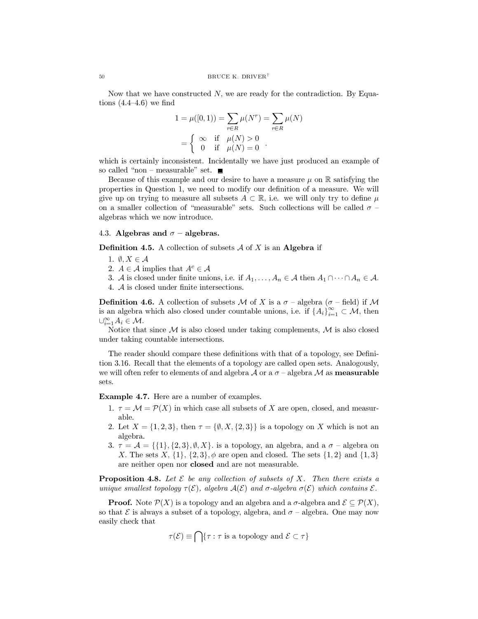Now that we have constructed  $N$ , we are ready for the contradiction. By Equations  $(4.4-4.6)$  we find

$$
1 = \mu([0, 1)) = \sum_{r \in R} \mu(N^r) = \sum_{r \in R} \mu(N)
$$
  
= 
$$
\begin{cases} \infty & \text{if } \mu(N) > 0 \\ 0 & \text{if } \mu(N) = 0 \end{cases}
$$

which is certainly inconsistent. Incidentally we have just produced an example of so called "non – measurable" set.  $\blacksquare$ 

Because of this example and our desire to have a measure  $\mu$  on  $\mathbb R$  satisfying the properties in Question 1, we need to modify our definition of a measure. We will give up on trying to measure all subsets  $A \subset \mathbb{R}$ , i.e. we will only try to define  $\mu$ on a smaller collection of "measurable" sets. Such collections will be called  $\sigma$  algebras which we now introduce.

# 4.3. Algebras and  $\sigma$  – algebras.

**Definition 4.5.** A collection of subsets  $A$  of X is an **Algebra** if

- 1.  $\emptyset, X \in \mathcal{A}$
- 2.  $A \in \mathcal{A}$  implies that  $A^c \in \mathcal{A}$
- 3. A is closed under finite unions, i.e. if  $A_1, \ldots, A_n \in \mathcal{A}$  then  $A_1 \cap \cdots \cap A_n \in \mathcal{A}$ .
- 4.  $\mathcal A$  is closed under finite intersections.

**Definition 4.6.** A collection of subsets M of X is a  $\sigma$  – algebra ( $\sigma$  – field) if M is an algebra which also closed under countable unions, i.e. if  $\{A_i\}_{i=1}^{\infty} \subset \mathcal{M}$ , then  $\cup_{i=1}^{\infty} A_i \in \mathcal{M}.$ 

Notice that since  $\mathcal M$  is also closed under taking complements,  $\mathcal M$  is also closed under taking countable intersections.

The reader should compare these definitions with that of a topology, see Definition 3.16. Recall that the elements of a topology are called open sets. Analogously, we will often refer to elements of and algebra  $\mathcal A$  or a  $\sigma$  -algebra  $\mathcal M$  as **measurable** sets.

**Example 4.7.** Here are a number of examples.

- 1.  $\tau = \mathcal{M} = \mathcal{P}(X)$  in which case all subsets of X are open, closed, and measurable.
- 2. Let  $X = \{1, 2, 3\}$ , then  $\tau = \{\emptyset, X, \{2, 3\}\}\$ is a topology on X which is not an algebra.
- 3.  $\tau = A = \{ \{1\}, \{2, 3\}, \emptyset, X \}$  is a topology, an algebra, and a  $\sigma$  algebra on X. The sets X,  $\{1\}$ ,  $\{2,3\}$ ,  $\phi$  are open and closed. The sets  $\{1,2\}$  and  $\{1,3\}$ are neither open nor **closed** and are not measurable.

**Proposition 4.8.** Let  $\mathcal E$  be any collection of subsets of X. Then there exists a unique smallest topology  $\tau(\mathcal{E})$ , algebra  $\mathcal{A}(\mathcal{E})$  and  $\sigma$ -algebra  $\sigma(\mathcal{E})$  which contains  $\mathcal{E}$ .

**Proof.** Note  $\mathcal{P}(X)$  is a topology and an algebra and a  $\sigma$ -algebra and  $\mathcal{E} \subseteq \mathcal{P}(X)$ , so that  $\mathcal E$  is always a subset of a topology, algebra, and  $\sigma$  – algebra. One may now easily check that

$$
\tau(\mathcal{E}) \equiv \bigcap \{ \tau : \tau \text{ is a topology and } \mathcal{E} \subset \tau \}
$$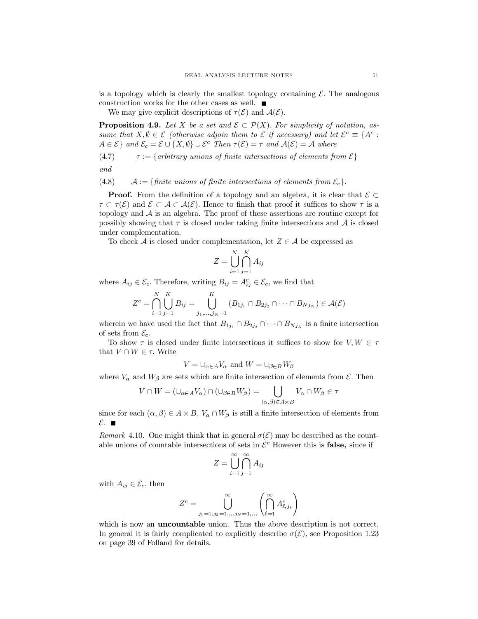is a topology which is clearly the smallest topology containing  $\mathcal{E}$ . The analogous construction works for the other cases as well.  $\blacksquare$ 

We may give explicit descriptions of  $\tau(\mathcal{E})$  and  $\mathcal{A}(\mathcal{E})$ .

**Proposition 4.9.** Let X be a set and  $\mathcal{E} \subset \mathcal{P}(X)$ . For simplicity of notation, assume that  $X, \emptyset \in \mathcal{E}$  (otherwise adjoin them to  $\mathcal{E}$  if necessary) and let  $\mathcal{E}^c \equiv \{A^c :$  $A \in \mathcal{E}$  and  $\mathcal{E}_c = \mathcal{E} \cup \{X, \emptyset\} \cup \mathcal{E}^c$  Then  $\tau(\mathcal{E}) = \tau$  and  $\mathcal{A}(\mathcal{E}) = \mathcal{A}$  where

(4.7) 
$$
\tau := \{arbitrary \text{ unions of finite intersections of elements from } \mathcal{E}\}
$$

and

 $(4.8)$  $\mathcal{A} := \{ \text{finite unions of finite intersections of elements from } \mathcal{E}_c \}.$ 

**Proof.** From the definition of a topology and an algebra, it is clear that  $\mathcal{E} \subset$  $\tau \subset \tau(\mathcal{E})$  and  $\mathcal{E} \subset \mathcal{A} \subset \mathcal{A}(\mathcal{E})$ . Hence to finish that proof it suffices to show  $\tau$  is a topology and  $A$  is an algebra. The proof of these assertions are routine except for possibly showing that  $\tau$  is closed under taking finite intersections and  $A$  is closed under complementation.

To check A is closed under complementation, let  $Z \in \mathcal{A}$  be expressed as

$$
Z = \bigcup_{i=1}^{N} \bigcap_{j=1}^{K} A_{ij}
$$

where  $A_{ij} \in \mathcal{E}_c$ . Therefore, writing  $B_{ij} = A_{ij}^c \in \mathcal{E}_c$ , we find that

$$
Z^{c}=\bigcap_{i=1}^N\bigcup_{j=1}^K B_{ij}=\bigcup_{j_1,\ldots,j_N=1}^K (B_{1j_1}\cap B_{2j_2}\cap\cdots\cap B_{Nj_N})\in \mathcal{A}(\mathcal{E})
$$

wherein we have used the fact that  $B_{1j_1} \cap B_{2j_2} \cap \cdots \cap B_{Nj_N}$  is a finite intersection of sets from  $\mathcal{E}_c$ .

To show  $\tau$  is closed under finite intersections it suffices to show for  $V, W \in \tau$ that  $V \cap W \in \tau$ . Write

$$
V = \bigcup_{\alpha \in A} V_{\alpha} \text{ and } W = \bigcup_{\beta \in B} W_{\beta}
$$

where  $V_{\alpha}$  and  $W_{\beta}$  are sets which are finite intersection of elements from  $\mathcal{E}$ . Then

$$
V\cap W=(\cup_{\alpha\in A}V_{\alpha})\cap(\cup_{\beta\in B}W_{\beta})=\bigcup_{(\alpha,\beta)\in A\times B}V_{\alpha}\cap W_{\beta}\in\tau
$$

since for each  $(\alpha, \beta) \in A \times B$ ,  $V_{\alpha} \cap W_{\beta}$  is still a finite intersection of elements from  $\mathcal{E}$ .

*Remark* 4.10. One might think that in general  $\sigma(\mathcal{E})$  may be described as the countable unions of countable intersections of sets in  $\mathcal{E}^c$  However this is **false**, since if

$$
Z = \bigcup_{i=1}^{\infty} \bigcap_{j=1}^{\infty} A_{ij}
$$

with  $A_{ij} \in \mathcal{E}_c$ , then

$$
Z^{c} = \bigcup_{j_1=1, j_2=1, \dots, j_N=1, \dots}^{\infty} \left( \bigcap_{\ell=1}^{\infty} A_{\ell, j_{\ell}}^{c} \right)
$$

which is now an **uncountable** union. Thus the above description is not correct. In general it is fairly complicated to explicitly describe  $\sigma(\mathcal{E})$ , see Proposition 1.23 on page 39 of Folland for details.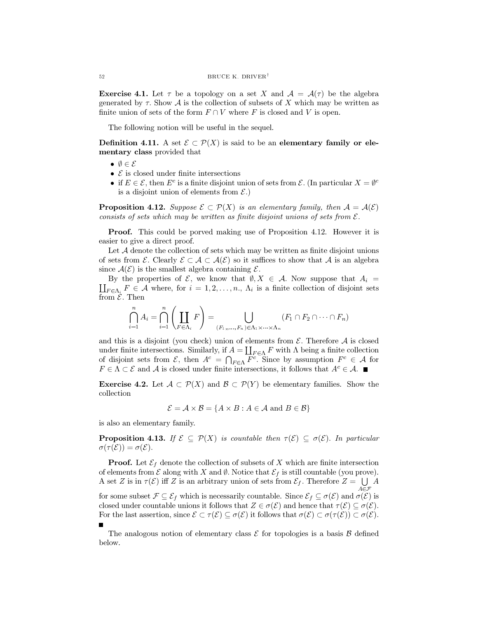**Exercise 4.1.** Let  $\tau$  be a topology on a set X and  $\mathcal{A} = \mathcal{A}(\tau)$  be the algebra generated by  $\tau$ . Show  $\mathcal A$  is the collection of subsets of X which may be written as finite union of sets of the form  $F \cap V$  where F is closed and V is open.

The following notion will be useful in the sequel.

**Definition 4.11.** A set  $\mathcal{E} \subset \mathcal{P}(X)$  is said to be an elementary family or elementary class provided that

- $\bullet \emptyset \in \mathcal{E}$
- $\mathcal E$  is closed under finite intersections
- if  $E \in \mathcal{E}$ , then  $E^c$  is a finite disjoint union of sets from  $\mathcal{E}$ . (In particular  $X = \emptyset^c$ is a disjoint union of elements from  $\mathcal{E}$ .)

**Proposition 4.12.** Suppose  $\mathcal{E} \subset \mathcal{P}(X)$  is an elementary family, then  $\mathcal{A} = \mathcal{A}(\mathcal{E})$ consists of sets which may be written as finite disjoint unions of sets from  $\mathcal{E}$ .

**Proof.** This could be porved making use of Proposition 4.12. However it is easier to give a direct proof.

Let  $A$  denote the collection of sets which may be written as finite disjoint unions of sets from  $\mathcal{E}$ . Clearly  $\mathcal{E} \subset \mathcal{A} \subset \mathcal{A}(\mathcal{E})$  so it suffices to show that  $\mathcal{A}$  is an algebra since  $\mathcal{A}(\mathcal{E})$  is the smallest algebra containing  $\mathcal{E}$ .

 $\coprod_{F \in \Lambda_i} F \in \mathcal{A}$  where, for  $i = 1, 2, ..., n$ ,  $\Lambda_i$  is a finite collection of disjoint sets By the properties of  $\mathcal{E}$ , we know that  $\emptyset, X \in \mathcal{A}$ . Now suppose that  $A_i =$  $\lim_{\epsilon \to 0} \mathcal{E}$ . Then

$$
\bigcap_{i=1}^n A_i = \bigcap_{i=1}^n \left(\coprod_{F \in \Lambda_i} F\right) = \bigcup_{(F_1, \ldots, F_n) \in \Lambda_1 \times \cdots \times \Lambda_n} (F_1 \cap F_2 \cap \cdots \cap F_n)
$$

and this is a disjoint (you check) union of elements from  $\mathcal E$ . Therefore  $\mathcal A$  is closed under finite intersections. Similarly, if  $A = \coprod_{F \in \Lambda} F$  with  $\Lambda$  being a finite collection of disjoint sets from  $\mathcal{E}$ , then  $A^c = \bigcap_{F \in \Lambda} \overline{F^c}$ . Since by assumption  $F^c \in \mathcal{A}$  for  $F \in \Lambda \subset \mathcal{E}$  and A is closed under finite intersections, it follows that  $A^c \in \mathcal{A}$ .

**Exercise 4.2.** Let  $\mathcal A \subset \mathcal P(X)$  and  $\mathcal B \subset \mathcal P(Y)$  be elementary families. Show the collection

$$
\mathcal{E} = \mathcal{A} \times \mathcal{B} = \{ A \times B : A \in \mathcal{A} \text{ and } B \in \mathcal{B} \}
$$

is also an elementary family.

**Proposition 4.13.** If  $\mathcal{E} \subseteq \mathcal{P}(X)$  is countable then  $\tau(\mathcal{E}) \subseteq \sigma(\mathcal{E})$ . In particular  $\sigma(\tau(\mathcal{E}))=\sigma(\mathcal{E}).$ 

**Proof.** Let  $\mathcal{E}_f$  denote the collection of subsets of X which are finite intersection of elements from  $\mathcal E$  along with X and  $\emptyset$ . Notice that  $\mathcal E_f$  is still countable (you prove). A set Z is in  $\tau(\mathcal{E})$  iff Z is an arbitrary union of sets from  $\mathcal{E}_f$ . Therefore  $Z = \bigcup_{A \in \mathcal{F}}$  $A$ for some subset  $\mathcal{F} \subseteq \mathcal{E}_f$  which is necessarily countable. Since  $\mathcal{E}_f \subseteq \sigma(\mathcal{E})$  and  $\sigma(\mathcal{E})$  is closed under countable unions it follows that  $Z \in \sigma(\mathcal{E})$  and hence that  $\tau(\mathcal{E}) \subseteq \sigma(\mathcal{E})$ . For the last assertion, since  $\mathcal{E} \subset \tau(\mathcal{E}) \subseteq \sigma(\mathcal{E})$  it follows that  $\sigma(\mathcal{E}) \subset \sigma(\tau(\mathcal{E})) \subset \sigma(\mathcal{E})$ .

The analogous notion of elementary class  $\mathcal E$  for topologies is a basis  $\mathcal B$  defined below.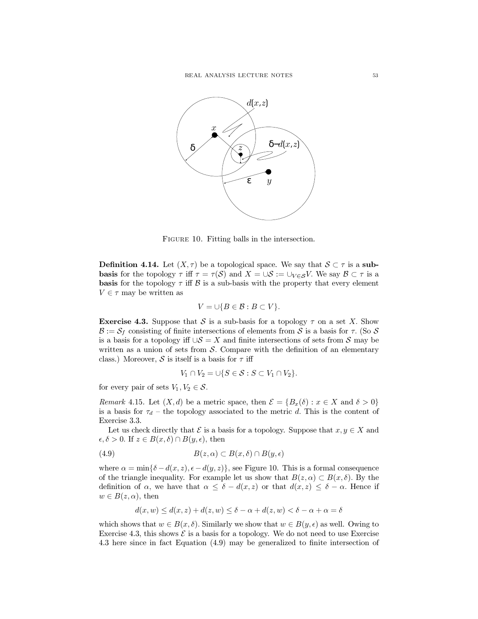

FIGURE 10. Fitting balls in the intersection.

**Definition 4.14.** Let  $(X, \tau)$  be a topological space. We say that  $S \subset \tau$  is a sub**basis** for the topology  $\tau$  iff  $\tau = \tau(S)$  and  $X = \cup S := \cup_{V \in S} V$ . We say  $\mathcal{B} \subset \tau$  is a **basis** for the topology  $\tau$  iff  $\beta$  is a sub-basis with the property that every element  $V \in \tau$  may be written as

$$
V=\cup\{B\in\mathcal{B}: B\subset V\}.
$$

**Exercise 4.3.** Suppose that S is a sub-basis for a topology  $\tau$  on a set X. Show  $\mathcal{B} := \mathcal{S}_f$  consisting of finite intersections of elements from S is a basis for  $\tau$ . (So S is a basis for a topology iff  $\cup S = X$  and finite intersections of sets from S may be written as a union of sets from  $\mathcal S$ . Compare with the definition of an elementary class.) Moreover, S is itself is a basis for  $\tau$  iff

$$
V_1 \cap V_2 = \cup \{ S \in \mathcal{S} : S \subset V_1 \cap V_2 \}.
$$

for every pair of sets  $V_1, V_2 \in \mathcal{S}$ .

Remark 4.15. Let  $(X, d)$  be a metric space, then  $\mathcal{E} = \{B_x(\delta) : x \in X \text{ and } \delta > 0\}$ is a basis for  $\tau_d$  – the topology associated to the metric d. This is the content of Exercise 3.3.

Let us check directly that  $\mathcal E$  is a basis for a topology. Suppose that  $x, y \in X$  and  $\epsilon, \delta > 0$ . If  $z \in B(x, \delta) \cap B(y, \epsilon)$ , then

(4.9) 
$$
B(z, \alpha) \subset B(x, \delta) \cap B(y, \epsilon)
$$

where  $\alpha = \min\{\delta - d(x, z), \epsilon - d(y, z)\}\$ , see Figure 10. This is a formal consequence of the triangle inequality. For example let us show that  $B(z, \alpha) \subset B(x, \delta)$ . By the definition of  $\alpha$ , we have that  $\alpha \leq \delta - d(x, z)$  or that  $d(x, z) \leq \delta - \alpha$ . Hence if  $w \in B(z, \alpha)$ , then

$$
d(x, w) \le d(x, z) + d(z, w) \le \delta - \alpha + d(z, w) < \delta - \alpha + \alpha = \delta
$$

which shows that  $w \in B(x, \delta)$ . Similarly we show that  $w \in B(y, \epsilon)$  as well. Owing to Exercise 4.3, this shows  $\mathcal E$  is a basis for a topology. We do not need to use Exercise 4.3 here since in fact Equation  $(4.9)$  may be generalized to finite intersection of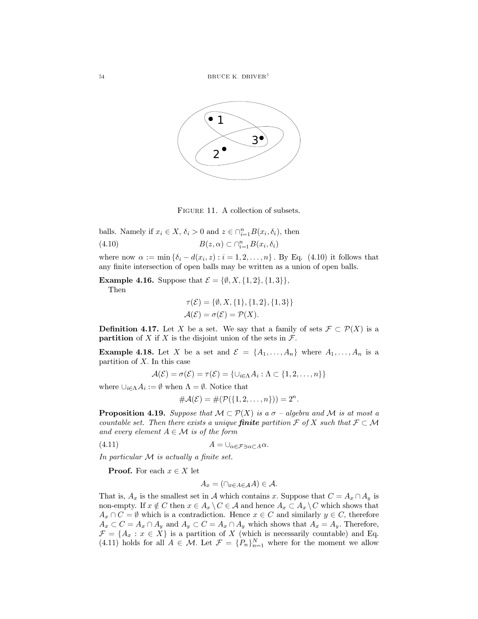

FIGURE 11. A collection of subsets.

balls. Namely if  $x_i \in X$ ,  $\delta_i > 0$  and  $z \in \bigcap_{i=1}^n B(x_i, \delta_i)$ , then  $(4.10)$  $B(z, \alpha) \subset \bigcap_{i=1}^n B(x_i, \delta_i)$ 

where now  $\alpha := \min \{\delta_i - d(x_i, z) : i = 1, 2, \dots, n\}$ . By Eq. (4.10) it follows that any finite intersection of open balls may be written as a union of open balls.

**Example 4.16.** Suppose that  $\mathcal{E} = \{\emptyset, X, \{1,2\}, \{1,3\}\}\,$ 

Then

$$
\tau(\mathcal{E}) = \{\emptyset, X, \{1\}, \{1, 2\}, \{1, 3\}\}\
$$

$$
\mathcal{A}(\mathcal{E}) = \sigma(\mathcal{E}) = \mathcal{P}(X).
$$

**Definition 4.17.** Let X be a set. We say that a family of sets  $\mathcal{F} \subset \mathcal{P}(X)$  is a **partition** of X if X is the disjoint union of the sets in  $\mathcal{F}$ .

**Example 4.18.** Let X be a set and  $\mathcal{E} = \{A_1, \ldots, A_n\}$  where  $A_1, \ldots, A_n$  is a partition of  $X$ . In this case

$$
\mathcal{A}(\mathcal{E}) = \sigma(\mathcal{E}) = \tau(\mathcal{E}) = \{ \cup_{i \in \Lambda} A_i : \Lambda \subset \{1, 2, \ldots, n\} \}
$$

where  $\bigcup_{i \in \Lambda} A_i := \emptyset$  when  $\Lambda = \emptyset$ . Notice that

$$
\#\mathcal{A}(\mathcal{E}) = \#(\mathcal{P}(\{1,2,\ldots,n\})) = 2^n.
$$

**Proposition 4.19.** Suppose that  $M \subset \mathcal{P}(X)$  is a  $\sigma$  - algebra and M is at most a countable set. Then there exists a unique **finite** partition  $\mathcal{F}$  of X such that  $\mathcal{F} \subset \mathcal{M}$ and every element  $A \in \mathcal{M}$  is of the form

 $(4.11)$  $A=\bigcup_{\alpha\in\mathcal{F}\ni\alpha\subset A}\alpha.$ 

In particular  $M$  is actually a finite set.

**Proof.** For each  $x \in X$  let

$$
A_x = (\cap_{x \in A \in \mathcal{A}} A) \in \mathcal{A}.
$$

That is,  $A_x$  is the smallest set in A which contains x. Suppose that  $C = A_x \cap A_y$  is non-empty. If  $x \notin C$  then  $x \in A_x \setminus C \in A$  and hence  $A_x \subset A_x \setminus C$  which shows that  $A_x \cap C = \emptyset$  which is a contradiction. Hence  $x \in C$  and similarly  $y \in C$ , therefore  $A_x \subset C = A_x \cap A_y$  and  $A_y \subset C = A_x \cap A_y$  which shows that  $A_x = A_y$ . Therefore,  $\mathcal{F} = \{A_x : x \in X\}$  is a partition of X (which is necessarily countable) and Eq. (4.11) holds for all  $A \in \mathcal{M}$ . Let  $\mathcal{F} = \{P_n\}_{n=1}^N$  where for the moment we allow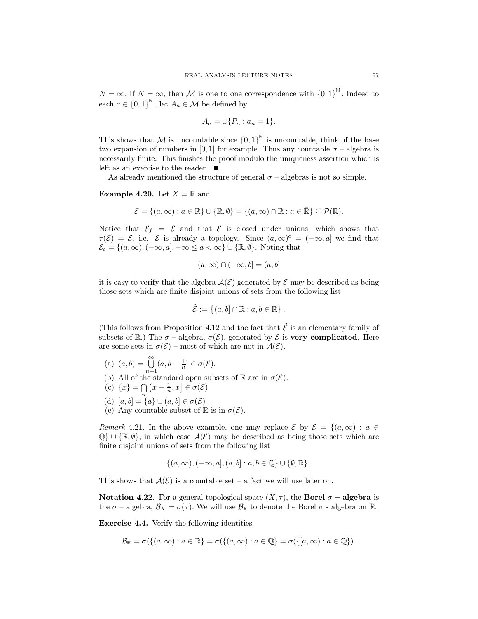$N = \infty$ . If  $N = \infty$ , then M is one to one correspondence with  ${0,1}^{\mathbb{N}}$ . Indeed to each  $a \in \{0,1\}^{\mathbb{N}}$ , let  $A_a \in \mathcal{M}$  be defined by

$$
A_a = \cup \{P_n : a_n = 1\}.
$$

This shows that M is uncountable since  ${0,1}^{\mathbb{N}}$  is uncountable, think of the base two expansion of numbers in [0,1] for example. Thus any countable  $\sigma$  – algebra is necessarily finite. This finishes the proof modulo the uniqueness assertion which is left as an exercise to the reader.  $\blacksquare$ 

As already mentioned the structure of general  $\sigma$  – algebras is not so simple.

**Example 4.20.** Let  $X = \mathbb{R}$  and

$$
\mathcal{E} = \{(a, \infty) : a \in \mathbb{R}\} \cup \{\mathbb{R}, \emptyset\} = \{(a, \infty) \cap \mathbb{R} : a \in \mathbb{R}\} \subseteq \mathcal{P}(\mathbb{R}).
$$

Notice that  $\mathcal{E}_f = \mathcal{E}$  and that  $\mathcal{E}$  is closed under unions, which shows that  $\tau(\mathcal{E}) = \mathcal{E}$ , i.e.  $\mathcal E$  is already a topology. Since  $(a,\infty)^c = (-\infty,a]$  we find that  $\mathcal{E}_c = \{(a, \infty), (-\infty, a], -\infty \le a < \infty\} \cup \{\mathbb{R}, \emptyset\}.$  Noting that

$$
(a,\infty)\cap(-\infty,b]=(a,b]
$$

it is easy to verify that the algebra  $\mathcal{A}(\mathcal{E})$  generated by  $\mathcal E$  may be described as being those sets which are finite disjoint unions of sets from the following list

$$
\tilde{\mathcal{E}} := \left\{ (a, b] \cap \mathbb{R} : a, b \in \bar{\mathbb{R}} \right\}.
$$

(This follows from Proposition 4.12 and the fact that  $\tilde{\mathcal{E}}$  is an elementary family of subsets of R.) The  $\sigma$  – algebra,  $\sigma(\mathcal{E})$ , generated by  $\mathcal E$  is very complicated. Here are some sets in  $\sigma(\mathcal{E})$  – most of which are not in  $\mathcal{A}(\mathcal{E})$ .

- (a)  $(a, b) = \bigcup_{n=1}^{\infty} (a, b \frac{1}{n}] \in \sigma(\mathcal{E}).$ <br>
(b) All of the standard open subsets of  $\mathbb{R}$  are in  $\sigma(\mathcal{E}).$
- 
- (c)  ${x} = \bigcap (x \frac{1}{n}, x] \in \sigma(\mathcal{E})$
- (d)  $[a, b] = \{a\} \cup (a, b] \in \sigma(\mathcal{E})$
- (e) Any countable subset of  $\mathbb R$  is in  $\sigma(\mathcal{E})$ .

*Remark* 4.21. In the above example, one may replace  $\mathcal{E}$  by  $\mathcal{E} = \{(a, \infty) : a \in$  $\mathbb{Q}$   $\cup$  { $\mathbb{R}, \emptyset$ }, in which case  $\mathcal{A}(\mathcal{E})$  may be described as being those sets which are finite disjoint unions of sets from the following list

$$
\{(a,\infty),(-\infty,a],(a,b]:a,b\in\mathbb{Q}\}\cup\{\emptyset,\mathbb{R}\}.
$$

This shows that  $A(\mathcal{E})$  is a countable set – a fact we will use later on.

**Notation 4.22.** For a general topological space  $(X, \tau)$ , the **Borel**  $\sigma$  – **algebra** is the  $\sigma$  – algebra,  $\mathcal{B}_X = \sigma(\tau)$ . We will use  $\mathcal{B}_{\mathbb{R}}$  to denote the Borel  $\sigma$  - algebra on  $\mathbb{R}$ .

**Exercise 4.4.** Verify the following identities

$$
\mathcal{B}_{\mathbb{R}}=\sigma(\{(a,\infty):a\in\mathbb{R}\}=\sigma(\{(a,\infty):a\in\mathbb{Q}\}=\sigma(\{[a,\infty):a\in\mathbb{Q}\}).
$$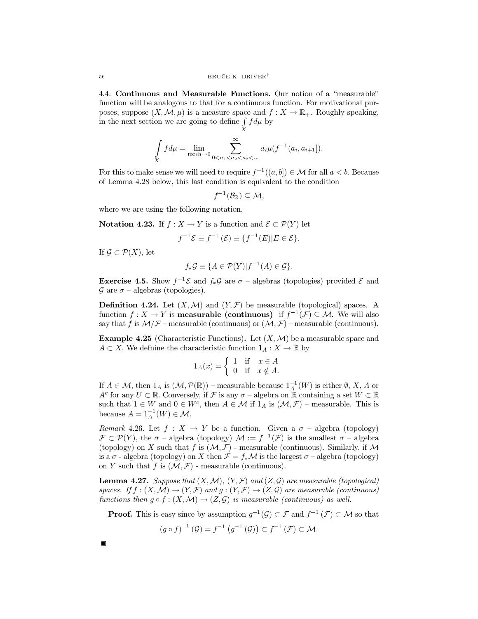4.4. Continuous and Measurable Functions. Our notion of a "measurable" function will be analogous to that for a continuous function. For motivational purposes, suppose  $(X, \mathcal{M}, \mu)$  is a measure space and  $f: X \to \mathbb{R}_+$ . Roughly speaking, in the next section we are going to define  $\int f d\mu$  by

$$
\int_{X} f d\mu = \lim_{\text{mesh}\to 0} \sum_{0 < a_1 < a_2 < a_3 < \dots}^{\infty} a_i \mu(f^{-1}(a_i, a_{i+1})).
$$

For this to make sense we will need to require  $f^{-1}((a, b]) \in \mathcal{M}$  for all  $a < b$ . Because of Lemma 4.28 below, this last condition is equivalent to the condition

$$
f^{-1}(\mathcal{B}_{\mathbb{R}})\subseteq \mathcal{M},
$$

where we are using the following notation.

**Notation 4.23.** If  $f: X \to Y$  is a function and  $\mathcal{E} \subset \mathcal{P}(Y)$  let

$$
f^{-1}\mathcal{E} \equiv f^{-1}(\mathcal{E}) \equiv \{f^{-1}(E)|E \in \mathcal{E}\}.
$$

If  $\mathcal{G} \subset \mathcal{P}(X)$ , let

$$
f_*\mathcal{G} \equiv \{ A \in \mathcal{P}(Y) | f^{-1}(A) \in \mathcal{G} \}.
$$

**Exercise 4.5.** Show  $f^{-1}\mathcal{E}$  and  $f_*\mathcal{G}$  are  $\sigma$  – algebras (topologies) provided  $\mathcal{E}$  and  $\mathcal G$  are  $\sigma$  – algebras (topologies).

**Definition 4.24.** Let  $(X, \mathcal{M})$  and  $(Y, \mathcal{F})$  be measurable (topological) spaces. A function  $f: X \to Y$  is **measurable (continuous)** if  $f^{-1}(\mathcal{F}) \subseteq \mathcal{M}$ . We will also say that f is  $\mathcal{M}/\mathcal{F}$  – measurable (continuous) or  $(\mathcal{M}, \mathcal{F})$  – measurable (continuous).

**Example 4.25** (Characteristic Functions). Let  $(X, \mathcal{M})$  be a measurable space and  $A \subset X$ . We definine the characteristic function  $1_A : X \to \mathbb{R}$  by

$$
1_A(x) = \begin{cases} 1 & \text{if } x \in A \\ 0 & \text{if } x \notin A \end{cases}
$$

If  $A \in \mathcal{M}$ , then  $1_A$  is  $(\mathcal{M}, \mathcal{P}(\mathbb{R}))$  – measurable because  $1_A^{-1}(W)$  is either  $\emptyset$ , X, A or  $A^c$  for any  $U \subset \mathbb{R}$ . Conversely, if F is any  $\sigma$  – algebra on  $\mathbb{R}$  containing a set  $W \subset \mathbb{R}$ such that  $1 \in W$  and  $0 \in W^c$ , then  $A \in \mathcal{M}$  if  $1_A$  is  $(\mathcal{M}, \mathcal{F})$  – measurable. This is because  $A = 1_A^{-1}(W) \in \mathcal{M}$ .

*Remark* 4.26. Let  $f: X \to Y$  be a function. Given a  $\sigma$  - algebra (topology)  $\mathcal{F} \subset \mathcal{P}(Y)$ , the  $\sigma$  - algebra (topology)  $\mathcal{M} := f^{-1}(\mathcal{F})$  is the smallest  $\sigma$  - algebra (topology) on X such that f is  $(\mathcal{M}, \mathcal{F})$  - measurable (continuous). Similarly, if  $\mathcal M$ is a  $\sigma$  - algebra (topology) on X then  $\mathcal{F} = f_*\mathcal{M}$  is the largest  $\sigma$  - algebra (topology) on Y such that f is  $(\mathcal{M}, \mathcal{F})$  - measurable (continuous).

**Lemma 4.27.** Suppose that  $(X, \mathcal{M})$ ,  $(Y, \mathcal{F})$  and  $(Z, \mathcal{G})$  are measurable (topological) spaces. If  $f:(X,\mathcal{M})\to (Y,\mathcal{F})$  and  $g:(Y,\mathcal{F})\to (Z,\mathcal{G})$  are measurable (continuous) functions then  $g \circ f : (X, \mathcal{M}) \to (Z, \mathcal{G})$  is measurable (continuous) as well.

**Proof.** This is easy since by assumption  $g^{-1}(\mathcal{G}) \subset \mathcal{F}$  and  $f^{-1}(\mathcal{F}) \subset \mathcal{M}$  so that

$$
(g \circ f)^{-1}(\mathcal{G}) = f^{-1}(g^{-1}(\mathcal{G})) \subset f^{-1}(\mathcal{F}) \subset \mathcal{M}.
$$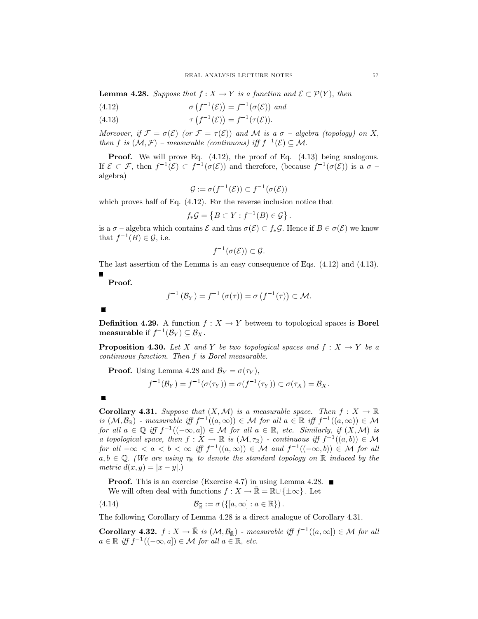**Lemma 4.28.** Suppose that  $f: X \to Y$  is a function and  $\mathcal{E} \subset \mathcal{P}(Y)$ , then

(4.12) 
$$
\sigma\left(f^{-1}(\mathcal{E})\right) = f^{-1}(\sigma(\mathcal{E})) \text{ and}
$$

(4.13) 
$$
\tau(f^{-1}(\mathcal{E})) = f^{-1}(\tau(\mathcal{E})).
$$

Moreover, if  $\mathcal{F} = \sigma(\mathcal{E})$  (or  $\mathcal{F} = \tau(\mathcal{E})$ ) and M is a  $\sigma$  - algebra (topology) on X, then f is  $(M,\mathcal{F})$  – measurable (continuous) iff  $f^{-1}(\mathcal{E}) \subset M$ .

**Proof.** We will prove Eq.  $(4.12)$ , the proof of Eq.  $(4.13)$  being analogous. If  $\mathcal{E} \subset \mathcal{F}$ , then  $f^{-1}(\mathcal{E}) \subset f^{-1}(\sigma(\mathcal{E}))$  and therefore, (because  $f^{-1}(\sigma(\mathcal{E}))$  is a  $\sigma$  algebra)

$$
\mathcal{G} := \sigma(f^{-1}(\mathcal{E})) \subset f^{-1}(\sigma(\mathcal{E}))
$$

which proves half of Eq.  $(4.12)$ . For the reverse inclusion notice that

$$
f_*\mathcal{G} = \left\{ B \subset Y : f^{-1}(B) \in \mathcal{G} \right\}.
$$

is a  $\sigma$  – algebra which contains  $\mathcal E$  and thus  $\sigma(\mathcal E) \subset f_*\mathcal G$ . Hence if  $B \in \sigma(\mathcal E)$  we know that  $f^{-1}(B) \in \mathcal{G}$ , i.e.

$$
f^{-1}(\sigma(\mathcal{E}))\subset \mathcal{G}.
$$

The last assertion of the Lemma is an easy consequence of Eqs.  $(4.12)$  and  $(4.13)$ .

Proof.

$$
f^{-1}(\mathcal{B}_Y) = f^{-1}(\sigma(\tau)) = \sigma(f^{-1}(\tau)) \subset \mathcal{M}.
$$

**Definition 4.29.** A function  $f: X \to Y$  between to topological spaces is **Borel** measurable if  $f^{-1}(\mathcal{B}_Y) \subseteq \mathcal{B}_X$ .

**Proposition 4.30.** Let X and Y be two topological spaces and  $f: X \rightarrow Y$  be a continuous function. Then f is Borel measurable.

**Proof.** Using Lemma 4.28 and  $\mathcal{B}_Y = \sigma(\tau_Y)$ ,

$$
f^{-1}(\mathcal{B}_Y) = f^{-1}(\sigma(\tau_Y)) = \sigma(f^{-1}(\tau_Y)) \subset \sigma(\tau_X) = \mathcal{B}_X.
$$

**Corollary 4.31.** Suppose that  $(X, \mathcal{M})$  is a measurable space. Then  $f : X \to \mathbb{R}$ is  $(M, \mathcal{B}_{\mathbb{R}})$  - measurable iff  $f^{-1}((a, \infty)) \in \mathcal{M}$  for all  $a \in \mathbb{R}$  iff  $f^{-1}((a, \infty)) \in \mathcal{M}$ for all  $a \in \mathbb{Q}$  iff  $f^{-1}((-\infty, a]) \in \mathcal{M}$  for all  $a \in \mathbb{R}$ , etc. Similarly, if  $(X, \mathcal{M})$  is a topological space, then  $f: X \to \mathbb{R}$  is  $(\mathcal{M}, \tau_{\mathbb{R}})$  - continuous iff  $f^{-1}((a, b)) \in \mathcal{M}$ for all  $-\infty < a < b < \infty$  iff  $f^{-1}((a,\infty)) \in \mathcal{M}$  and  $f^{-1}((-\infty,b)) \in \mathcal{M}$  for all  $a, b \in \mathbb{Q}$ . (We are using  $\tau_{\mathbb{R}}$  to denote the standard topology on  $\mathbb{R}$  induced by the metric  $d(x,y) = |x - y|$ .

**Proof.** This is an exercise (Exercise 4.7) in using Lemma 4.28.  $\blacksquare$ We will often deal with functions  $f: X \to \mathbb{R} = \mathbb{R} \cup {\pm \infty}$ . Let

$$
\mathcal{B}_{\mathbb{R}} := \sigma\left(\left\{ [a, \infty] : a \in \mathbb{R} \right\} \right)
$$

The following Corollary of Lemma 4.28 is a direct analogue of Corollary 4.31.

**Corollary 4.32.**  $f: X \to \mathbb{R}$  is  $(\mathcal{M}, \mathcal{B}_{\mathbb{R}})$  - measurable iff  $f^{-1}((a, \infty)) \in \mathcal{M}$  for all  $a \in \mathbb{R}$  iff  $f^{-1}((-\infty, a]) \in \mathcal{M}$  for all  $a \in \mathbb{R}$ , etc.

57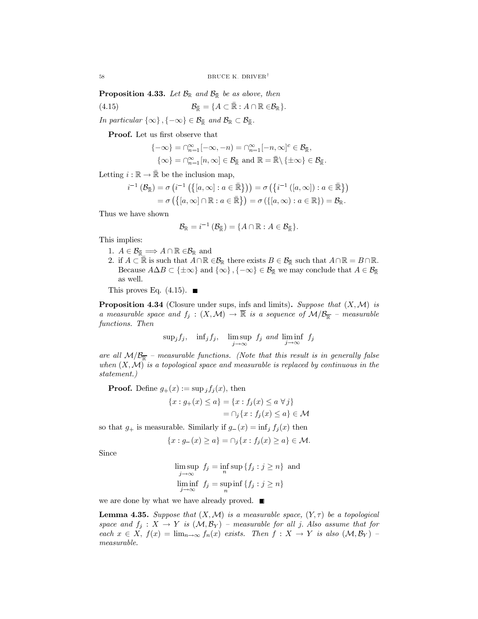**Proposition 4.33.** Let  $\mathcal{B}_{\mathbb{R}}$  and  $\mathcal{B}_{\mathbb{R}}$  be as above, then

$$
\mathcal{B}_{\mathbb{R}} = \{ A \subset \mathbb{R} : A \cap \mathbb{R} \in \mathcal{B}_{\mathbb{R}} \}
$$

In particular  $\{\infty\}, \{-\infty\} \in \mathcal{B}_{\mathbb{R}}$  and  $\mathcal{B}_{\mathbb{R}} \subset \mathcal{B}_{\mathbb{R}}$ .

**Proof.** Let us first observe that

$$
\begin{aligned}\n\{-\infty\} &= \cap_{n=1}^{\infty}[-\infty, -n) = \cap_{n=1}^{\infty}[-n, \infty]^{c} \in \mathcal{B}_{\mathbb{R}}, \\
\{\infty\} &= \cap_{n=1}^{\infty}[n, \infty] \in \mathcal{B}_{\mathbb{R}} \text{ and } \mathbb{R} = \mathbb{R} \setminus \{\pm \infty\} \in \mathcal{B}_{\mathbb{R}}\n\end{aligned}
$$

Letting  $i : \mathbb{R} \to \bar{\mathbb{R}}$  be the inclusion map,

$$
i^{-1}(\mathcal{B}_{\mathbb{R}}) = \sigma\left(i^{-1}\left(\left\{[a,\infty]:a\in\mathbb{R}\right\}\right)\right) = \sigma\left(\left\{i^{-1}\left([a,\infty]:a\in\mathbb{R}\right\}\right)\right) = \sigma\left(\left\{[a,\infty]\cap\mathbb{R}:a\in\mathbb{R}\right\}\right) = \sigma\left(\left\{[a,\infty]:a\in\mathbb{R}\right\}\right) = \mathcal{B}_{\mathbb{R}}.
$$

Thus we have shown

$$
\mathcal{B}_{\mathbb{R}} = i^{-1} \left( \mathcal{B}_{\mathbb{R}} \right) = \{ A \cap \mathbb{R} : A \in \mathcal{B}_{\mathbb{R}} \}
$$

This implies:

- 1.  $A \in \mathcal{B}_{\bar{\mathbb{R}}} \Longrightarrow A \cap \mathbb{R} \in \mathcal{B}_{\mathbb{R}}$  and
- 2. if  $A \subset \mathbb{R}$  is such that  $A \cap \mathbb{R} \in \mathcal{B}_{\mathbb{R}}$  there exists  $B \in \mathcal{B}_{\mathbb{R}}$  such that  $A \cap \mathbb{R} = B \cap \mathbb{R}$ . Because  $A\Delta B \subset \{\pm \infty\}$  and  $\{\infty\}, \{-\infty\} \in \mathcal{B}_{\bar{\mathbb{R}}}$  we may conclude that  $A \in \mathcal{B}_{\bar{\mathbb{R}}}$ as well.

This proves Eq.  $(4.15)$ .

**Proposition 4.34** (Closure under sups, infs and limits). Suppose that  $(X, \mathcal{M})$  is a measurable space and  $f_j : (X, \mathcal{M}) \to \overline{\mathbb{R}}$  is a sequence of  $\mathcal{M}/\mathcal{B}_{\overline{\mathbb{R}}}$  - measurable functions. Then

$$
\sup_j f_j
$$
,  $\inf_j f_j$ ,  $\limsup_{j \to \infty} f_j$  and  $\liminf_{j \to \infty} f_j$ 

are all  $M/B_{\overline{k}}$  – measurable functions. (Note that this result is in generally false when  $(X, \mathcal{M})$  is a topological space and measurable is replaced by continuous in the statement.)

**Proof.** Define  $g_+(x) := \sup_j f_j(x)$ , then

$$
\{x : g_{+}(x) \le a\} = \{x : f_{j}(x) \le a \,\forall j\}
$$

$$
= \cap_{j} \{x : f_{j}(x) \le a\} \in \mathcal{N}
$$

so that  $g_+$  is measurable. Similarly if  $g_-(x) = \inf_j f_j(x)$  then

$$
\{x : g_{-}(x) \ge a\} = \cap_i \{x : f_i(x) \ge a\} \in \mathcal{M}.
$$

Since

$$
\limsup_{j \to \infty} f_j = \inf_n \sup \{ f_j : j \ge n \}
$$
 and  

$$
\liminf_{j \to \infty} f_j = \sup_n \inf \{ f_j : j \ge n \}
$$

we are done by what we have already proved.  $\blacksquare$ 

**Lemma 4.35.** Suppose that  $(X, \mathcal{M})$  is a measurable space,  $(Y, \tau)$  be a topological space and  $f_j: X \to Y$  is  $(\mathcal{M}, \mathcal{B}_Y)$  – measurable for all j. Also assume that for each  $x \in X$ ,  $f(x) = \lim_{n \to \infty} f_n(x)$  exists. Then  $f: X \to Y$  is also  $(\mathcal{M}, \mathcal{B}_Y)$  $measureable.$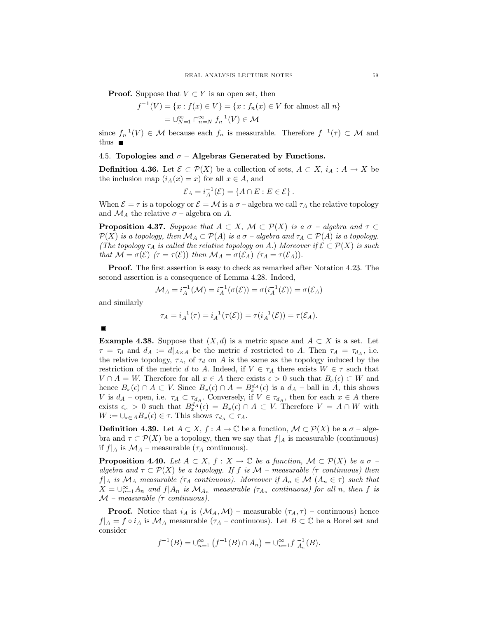**Proof.** Suppose that  $V \subset Y$  is an open set, then

$$
f^{-1}(V) = \{x : f(x) \in V\} = \{x : f_n(x) \in V \text{ for almost all } n\}
$$

$$
= \bigcup_{N=1}^{\infty} \bigcap_{n=N}^{\infty} f_n^{-1}(V) \in \mathcal{M}
$$

since  $f_n^{-1}(V) \in \mathcal{M}$  because each  $f_n$  is measurable. Therefore  $f^{-1}(\tau) \subset \mathcal{M}$  and

### 4.5. Topologies and  $\sigma$  – Algebras Generated by Functions.

**Definition 4.36.** Let  $\mathcal{E} \subset \mathcal{P}(X)$  be a collection of sets,  $A \subset X$ ,  $i_A : A \to X$  be the inclusion map  $(i_A(x) = x)$  for all  $x \in A$ , and

$$
\mathcal{E}_A = i_A^{-1}(\mathcal{E}) = \{A \cap E : E \in \mathcal{E}\}.
$$

When  $\mathcal{E} = \tau$  is a topology or  $\mathcal{E} = \mathcal{M}$  is a  $\sigma$  -algebra we call  $\tau_A$  the relative topology and  $\mathcal{M}_A$  the relative  $\sigma$  – algebra on A.

**Proposition 4.37.** Suppose that  $A \subset X$ ,  $\mathcal{M} \subset \mathcal{P}(X)$  is a  $\sigma$  - algebra and  $\tau \subset$  $\mathcal{P}(X)$  is a topology, then  $\mathcal{M}_A \subset \mathcal{P}(A)$  is a  $\sigma$  -algebra and  $\tau_A \subset \mathcal{P}(A)$  is a topology. (The topology  $\tau_A$  is called the relative topology on A.) Moreover if  $\mathcal{E} \subset \mathcal{P}(X)$  is such that  $M = \sigma(\mathcal{E})$   $(\tau = \tau(\mathcal{E}))$  then  $M_A = \sigma(\mathcal{E}_A)$   $(\tau_A = \tau(\mathcal{E}_A)).$ 

**Proof.** The first assertion is easy to check as remarked after Notation 4.23. The second assertion is a consequence of Lemma 4.28. Indeed,

$$
\mathcal{M}_A = i_A^{-1}(\mathcal{M}) = i_A^{-1}(\sigma(\mathcal{E})) = \sigma(i_A^{-1}(\mathcal{E})) = \sigma(\mathcal{E}_A)
$$

and similarly

$$
\tau_A = i_A^{-1}(\tau) = i_A^{-1}(\tau(\mathcal{E})) = \tau(i_A^{-1}(\mathcal{E})) = \tau(\mathcal{E}_A).
$$

**Example 4.38.** Suppose that  $(X,d)$  is a metric space and  $A \subset X$  is a set. Let  $\tau = \tau_d$  and  $d_A := d|_{A \times A}$  be the metric d restricted to A. Then  $\tau_A = \tau_{d_A}$ , i.e. the relative topology,  $\tau_A$ , of  $\tau_d$  on A is the same as the topology induced by the restriction of the metric d to A. Indeed, if  $V \in \tau_A$  there exists  $W \in \tau$  such that  $V \cap A = W$ . Therefore for all  $x \in A$  there exists  $\epsilon > 0$  such that  $B_x(\epsilon) \subset W$  and hence  $B_x(\epsilon) \cap A \subset V$ . Since  $B_x(\epsilon) \cap A = B_x^{d_A}(\epsilon)$  is a  $d_A$  - ball in A, this shows V is  $d_A$  – open, i.e.  $\tau_A \subset \tau_{d_A}$ . Conversely, if  $V \in \tau_{d_A}$ , then for each  $x \in A$  there exists  $\epsilon_x > 0$  such that  $B_x^{d_A}(\epsilon) = B_x(\epsilon) \cap A \subset V$ . Therefore  $V = A \cap W$  with  $W := \bigcup_{x \in A} B_x(\epsilon) \in \tau$ . This shows  $\tau_{d_A} \subset \tau_A$ .

**Definition 4.39.** Let  $A \subset X$ ,  $f : A \to \mathbb{C}$  be a function,  $\mathcal{M} \subset \mathcal{P}(X)$  be a  $\sigma$  - algebra and  $\tau \subset \mathcal{P}(X)$  be a topology, then we say that  $f|_A$  is measurable (continuous) if  $f|_A$  is  $\mathcal{M}_A$  – measurable  $(\tau_A$  continuous).

**Proposition 4.40.** Let  $A \subset X$ ,  $f: X \to \mathbb{C}$  be a function,  $\mathcal{M} \subset \mathcal{P}(X)$  be a  $\sigma$ algebra and  $\tau \subset \mathcal{P}(X)$  be a topology. If f is  $\mathcal{M}$  – measurable ( $\tau$  continuous) then  $f|_A$  is  $\mathcal{M}_A$  measurable ( $\tau_A$  continuous). Moreover if  $A_n \in \mathcal{M}$  ( $A_n \in \tau$ ) such that  $X=\bigcup_{n=1}^{\infty} A_n$  and  $f|A_n$  is  $\mathcal{M}_{A_n}$  measurable  $(\tau_{A_n}$  continuous) for all n, then f is  $\mathcal{M}$  – measurable ( $\tau$  continuous).

**Proof.** Notice that  $i_A$  is  $(\mathcal{M}_A, \mathcal{M})$  – measurable  $(\tau_A, \tau)$  – continuous) hence  $f|_A = f \circ i_A$  is  $\mathcal{M}_A$  measurable  $(\tau_A$  – continuous). Let  $B \subset \mathbb{C}$  be a Borel set and consider

$$
f^{-1}(B) = \bigcup_{n=1}^{\infty} (f^{-1}(B) \cap A_n) = \bigcup_{n=1}^{\infty} f|_{A_n}^{-1}(B).
$$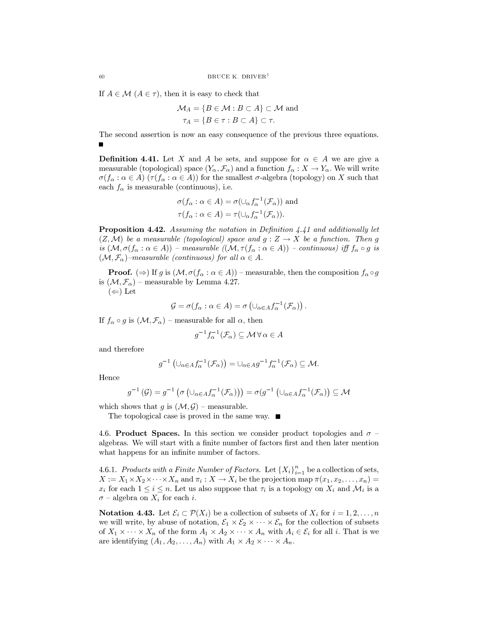If  $A \in \mathcal{M}$   $(A \in \tau)$ , then it is easy to check that

$$
\mathcal{M}_A = \{ B \in \mathcal{M} : B \subset A \} \subset \mathcal{M} \text{ and}
$$

$$
\tau_A = \{ B \in \tau : B \subset A \} \subset \tau.
$$

The second assertion is now an easy consequence of the previous three equations.

**Definition 4.41.** Let X and A be sets, and suppose for  $\alpha \in A$  we are give a measurable (topological) space  $(Y_{\alpha}, \mathcal{F}_{\alpha})$  and a function  $f_{\alpha}: X \to Y_{\alpha}$ . We will write  $\sigma(f_\alpha : \alpha \in A)$   $(\tau(f_\alpha : \alpha \in A))$  for the smallest  $\sigma$ -algebra (topology) on X such that each  $f_{\alpha}$  is measurable (continuous), i.e.

$$
\sigma(f_{\alpha} : \alpha \in A) = \sigma(\cup_{\alpha} f_{\alpha}^{-1}(\mathcal{F}_{\alpha})) \text{ and}
$$
  

$$
\tau(f_{\alpha} : \alpha \in A) = \tau(\cup_{\alpha} f_{\alpha}^{-1}(\mathcal{F}_{\alpha})).
$$

**Proposition 4.42.** Assuming the notation in Definition  $4.41$  and additionally let  $(Z, \mathcal{M})$  be a measurable (topological) space and  $g: Z \to X$  be a function. Then g is  $(\mathcal{M}, \sigma(f_\alpha : \alpha \in A))$  – measurable  $((\mathcal{M}, \tau(f_\alpha : \alpha \in A))$  – continuous) iff  $f_\alpha \circ g$  is  $(\mathcal{M}, \mathcal{F}_{\alpha})$ -measurable (continuous) for all  $\alpha \in A$ .

**Proof.** ( $\Rightarrow$ ) If g is  $(\mathcal{M}, \sigma(f_\alpha : \alpha \in A))$  – measurable, then the composition  $f_\alpha \circ g$ is  $(\mathcal{M}, \mathcal{F}_{\alpha})$  – measurable by Lemma 4.27.

 $(\Leftarrow)$  Let

$$
\mathcal{G} = \sigma(f_{\alpha} : \alpha \in A) = \sigma\left(\cup_{\alpha \in A} f_{\alpha}^{-1}(\mathcal{F}_{\alpha})\right)
$$

If  $f_{\alpha} \circ g$  is  $(\mathcal{M}, \mathcal{F}_{\alpha})$  – measurable for all  $\alpha$ , then

$$
q^{-1}f_{\alpha}^{-1}(\mathcal{F}_{\alpha}) \subseteq \mathcal{M} \,\forall \,\alpha \in A
$$

and therefore

$$
g^{-1}(\cup_{\alpha\in A}f_{\alpha}^{-1}(\mathcal{F}_{\alpha}))=\cup_{\alpha\in A}g^{-1}f_{\alpha}^{-1}(\mathcal{F}_{\alpha})\subseteq M.
$$

Hence

$$
g^{-1}(\mathcal{G}) = g^{-1}(\sigma\left(\cup_{\alpha \in A} f_{\alpha}^{-1}(\mathcal{F}_{\alpha})\right)) = \sigma(g^{-1}\left(\cup_{\alpha \in A} f_{\alpha}^{-1}(\mathcal{F}_{\alpha})\right) \subseteq \mathcal{M}
$$

which shows that g is  $(\mathcal{M}, \mathcal{G})$  – measurable.

The topological case is proved in the same way.  $\blacksquare$ 

4.6. Product Spaces. In this section we consider product topologies and  $\sigma$  algebras. We will start with a finite number of factors first and then later mention what happens for an infinite number of factors.

4.6.1. Products with a Finite Number of Factors. Let  ${X_i}_{i=1}^n$  be a collection of sets,  $X := X_1 \times X_2 \times \cdots \times X_n$  and  $\pi_i : X \to X_i$  be the projection map  $\pi(x_1, x_2, \ldots, x_n) =$  $x_i$  for each  $1 \leq i \leq n$ . Let us also suppose that  $\tau_i$  is a topology on  $X_i$  and  $\mathcal{M}_i$  is a  $\sigma$  – algebra on  $X_i$  for each i.

**Notation 4.43.** Let  $\mathcal{E}_i \subset \mathcal{P}(X_i)$  be a collection of subsets of  $X_i$  for  $i = 1, 2, ..., n$ we will write, by abuse of notation,  $\mathcal{E}_1 \times \mathcal{E}_2 \times \cdots \times \mathcal{E}_n$  for the collection of subsets of  $X_1 \times \cdots \times X_n$  of the form  $A_1 \times A_2 \times \cdots \times A_n$  with  $A_i \in \mathcal{E}_i$  for all i. That is we are identifying  $(A_1, A_2, ..., A_n)$  with  $A_1 \times A_2 \times \cdots \times A_n$ .

 $60$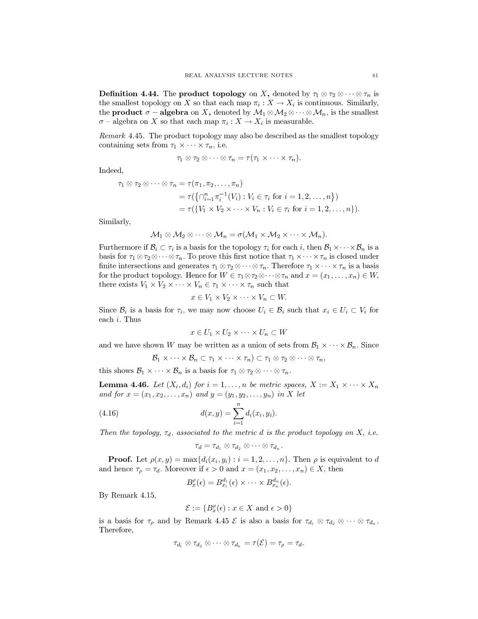**Definition 4.44.** The **product topology** on X, denoted by  $\tau_1 \otimes \tau_2 \otimes \cdots \otimes \tau_n$  is the smallest topology on X so that each map  $\pi_i: X \to X_i$  is continuous. Similarly, the **product**  $\sigma$  – **algebra** on X, denoted by  $\mathcal{M}_1 \otimes \mathcal{M}_2 \otimes \cdots \otimes \mathcal{M}_n$ , is the smallest  $\sigma$  – algebra on X so that each map  $\pi_i : X \to X_i$  is measurable.

*Remark* 4.45. The product topology may also be described as the smallest topology containing sets from  $\tau_1 \times \cdots \times \tau_n$ , i.e.

$$
\tau_1\otimes\tau_2\otimes\cdots\otimes\tau_n=\tau(\tau_1\times\cdots\times\tau_n).
$$

Indeed,

$$
\tau_1 \otimes \tau_2 \otimes \cdots \otimes \tau_n = \tau(\pi_1, \pi_2, \ldots, \pi_n)
$$
  
= 
$$
\tau(\{\cap_{i=1}^n \pi_i^{-1}(V_i) : V_i \in \tau_i \text{ for } i = 1, 2, \ldots, n\})
$$
  
= 
$$
\tau(\{V_1 \times V_2 \times \cdots \times V_n : V_i \in \tau_i \text{ for } i = 1, 2, \ldots, n\}).
$$

Similarly,

$$
\mathcal{M}_1 \otimes \mathcal{M}_2 \otimes \cdots \otimes \mathcal{M}_n = \sigma(\mathcal{M}_1 \times \mathcal{M}_2 \times \cdots \times \mathcal{M}_n).
$$

Furthermore if  $\mathcal{B}_i \subset \tau_i$  is a basis for the topology  $\tau_i$  for each i, then  $\mathcal{B}_1 \times \cdots \times \mathcal{B}_n$  is a basis for  $\tau_1 \otimes \tau_2 \otimes \cdots \otimes \tau_n$ . To prove this first notice that  $\tau_1 \times \cdots \times \tau_n$  is closed under finite intersections and generates  $\tau_1 \otimes \tau_2 \otimes \cdots \otimes \tau_n$ . Therefore  $\tau_1 \times \cdots \times \tau_n$  is a basis for the product topology. Hence for  $W \in \tau_1 \otimes \tau_2 \otimes \cdots \otimes \tau_n$  and  $x=(x_1, \ldots, x_n) \in W$ , there exists  $V_1 \times V_2 \times \cdots \times V_n \in \tau_1 \times \cdots \times \tau_n$  such that

$$
x \in V_1 \times V_2 \times \cdots \times V_n \subset W.
$$

Since  $\mathcal{B}_i$  is a basis for  $\tau_i$ , we may now choose  $U_i \in \mathcal{B}_i$  such that  $x_i \in U_i \subset V_i$  for each  $i$ . Thus

$$
x \in U_1 \times U_2 \times \cdots \times U_n \subset W
$$

and we have shown W may be written as a union of sets from  $\mathcal{B}_1 \times \cdots \times \mathcal{B}_n$ . Since

$$
\mathcal{B}_1 \times \cdots \times \mathcal{B}_n \subset \tau_1 \times \cdots \times \tau_n) \subset \tau_1 \otimes \tau_2 \otimes \cdots \otimes \tau_n,
$$

this shows  $\mathcal{B}_1 \times \cdots \times \mathcal{B}_n$  is a basis for  $\tau_1 \otimes \tau_2 \otimes \cdots \otimes \tau_n$ .

**Lemma 4.46.** Let  $(X_i, d_i)$  for  $i = 1, ..., n$  be metric spaces,  $X := X_1 \times \cdots \times X_n$ and for  $x=(x_1, x_2, \ldots, x_n)$  and  $y=(y_1, y_2, \ldots, y_n)$  in X let

(4.16) 
$$
d(x,y) = \sum_{i=1}^{n} d_i(x_i, y_i).
$$

Then the topology,  $\tau_d$ , associated to the metric d is the product topology on X, i.e.

$$
\tau_d=\tau_{d_1}\otimes\tau_{d_2}\otimes\cdots\otimes\tau_{d_n}.
$$

**Proof.** Let  $\rho(x, y) = \max\{d_i(x_i, y_i) : i = 1, 2, \ldots, n\}$ . Then  $\rho$  is equivalent to d and hence  $\tau_{\rho} = \tau_d$ . Moreover if  $\epsilon > 0$  and  $x = (x_1, x_2, \ldots, x_n) \in X$ , then

$$
B_x^{\rho}(\epsilon) = B_{x_1}^{d_1}(\epsilon) \times \cdots \times B_{x_n}^{d_n}(\epsilon).
$$

By Remark 4.15,

$$
\mathcal{E} := \{ B_x^{\rho}(\epsilon) : x \in X \text{ and } \epsilon > 0 \}
$$

is a basis for  $\tau_{\rho}$  and by Remark 4.45  $\mathcal{E}$  is also a basis for  $\tau_{d_1} \otimes \tau_{d_2} \otimes \cdots \otimes \tau_{d_n}$ . Therefore,

$$
\tau_{d_1}\otimes \tau_{d_2}\otimes \cdots \otimes \tau_{d_n}=\tau(\mathcal{E})=\tau_{\rho}=\tau_d.
$$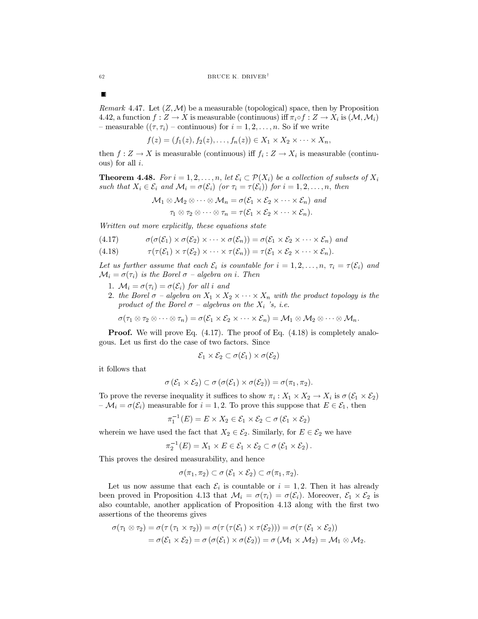*Remark* 4.47. Let  $(Z, M)$  be a measurable (topological) space, then by Proposition 4.42, a function  $f: Z \to X$  is measurable (continuous) iff  $\pi_i \circ f: Z \to X_i$  is  $(\mathcal{M}, \mathcal{M}_i)$ - measurable  $((\tau, \tau_i)$  - continuous) for  $i = 1, 2, ..., n$ . So if we write

$$
f(z)=(f_1(z),f_2(z),\ldots,f_n(z))\in X_1\times X_2\times\cdots\times X_n
$$

then  $f: Z \to X$  is measurable (continuous) iff  $f_i: Z \to X_i$  is measurable (continuous) for all  $i$ .

**Theorem 4.48.** For  $i = 1, 2, ..., n$ , let  $\mathcal{E}_i \subset \mathcal{P}(X_i)$  be a collection of subsets of  $X_i$ such that  $X_i \in \mathcal{E}_i$  and  $\mathcal{M}_i = \sigma(\mathcal{E}_i)$  (or  $\tau_i = \tau(\mathcal{E}_i)$ ) for  $i = 1, 2, ..., n$ , then

$$
\mathcal{M}_1 \otimes \mathcal{M}_2 \otimes \cdots \otimes \mathcal{M}_n = \sigma(\mathcal{E}_1 \times \mathcal{E}_2 \times \cdots \times \mathcal{E}_n) \text{ and}
$$

$$
\tau_1 \otimes \tau_2 \otimes \cdots \otimes \tau_n = \tau(\mathcal{E}_1 \times \mathcal{E}_2 \times \cdots \times \mathcal{E}_n).
$$

Written out more explicitly, these equations state

$$
(4.17) \qquad \sigma(\sigma(\mathcal{E}_1) \times \sigma(\mathcal{E}_2) \times \cdots \times \sigma(\mathcal{E}_n)) = \sigma(\mathcal{E}_1 \times \mathcal{E}_2 \times \cdots \times \mathcal{E}_n) \text{ and}
$$

$$
(4.18) \qquad \qquad \tau(\tau(\mathcal{E}_1) \times \tau(\mathcal{E}_2) \times \cdots \times \tau(\mathcal{E}_n)) = \tau(\mathcal{E}_1 \times \mathcal{E}_2 \times \cdots \times \mathcal{E}_n).
$$

Let us further assume that each  $\mathcal{E}_i$  is countable for  $i = 1, 2, ..., n$ ,  $\tau_i = \tau(\mathcal{E}_i)$  and  $\mathcal{M}_i = \sigma(\tau_i)$  is the Borel  $\sigma$  - algebra on i. Then

- 1.  $M_i = \sigma(\tau_i) = \sigma(\mathcal{E}_i)$  for all i and
- 2. the Borel  $\sigma$  algebra on  $X_1 \times X_2 \times \cdots \times X_n$  with the product topology is the product of the Borel  $\sigma$  – algebras on the  $X_i$  's, i.e.

 $\sigma(\tau_1 \otimes \tau_2 \otimes \cdots \otimes \tau_n) = \sigma(\mathcal{E}_1 \times \mathcal{E}_2 \times \cdots \times \mathcal{E}_n) = \mathcal{M}_1 \otimes \mathcal{M}_2 \otimes \cdots \otimes \mathcal{M}_n.$ 

**Proof.** We will prove Eq.  $(4.17)$ . The proof of Eq.  $(4.18)$  is completely analogous. Let us first do the case of two factors. Since

$$
\mathcal{E}_1\times\mathcal{E}_2\subset\sigma(\mathcal{E}_1)\times\sigma(\mathcal{E}_2)
$$

it follows that

$$
\sigma(\mathcal{E}_1 \times \mathcal{E}_2) \subset \sigma(\sigma(\mathcal{E}_1) \times \sigma(\mathcal{E}_2)) = \sigma(\pi_1, \pi_2).
$$

To prove the reverse inequality it suffices to show  $\pi_i: X_1 \times X_2 \to X_i$  is  $\sigma(\mathcal{E}_1 \times \mathcal{E}_2)$  $-\mathcal{M}_i = \sigma(\mathcal{E}_i)$  measurable for  $i = 1, 2$ . To prove this suppose that  $E \in \mathcal{E}_1$ , then

$$
\pi_1^{-1}(E) = E \times X_2 \in \mathcal{E}_1 \times \mathcal{E}_2 \subset \sigma(\mathcal{E}_1 \times \mathcal{E}_2)
$$

wherein we have used the fact that  $X_2 \in \mathcal{E}_2$ . Similarly, for  $E \in \mathcal{E}_2$  we have

$$
\pi_2^{-1}(E) = X_1 \times E \in \mathcal{E}_1 \times \mathcal{E}_2 \subset \sigma \left( \mathcal{E}_1 \times \mathcal{E}_2 \right).
$$

This proves the desired measurability, and hence

$$
\sigma(\pi_1, \pi_2) \subset \sigma(\mathcal{E}_1 \times \mathcal{E}_2) \subset \sigma(\pi_1, \pi_2).
$$

Let us now assume that each  $\mathcal{E}_i$  is countable or  $i = 1, 2$ . Then it has already been proved in Proposition 4.13 that  $\mathcal{M}_i = \sigma(\tau_i) = \sigma(\mathcal{E}_i)$ . Moreover,  $\mathcal{E}_1 \times \mathcal{E}_2$  is also countable, another application of Proposition 4.13 along with the first two assertions of the theorems gives

$$
\sigma(\tau_1 \otimes \tau_2) = \sigma(\tau (\tau_1 \times \tau_2)) = \sigma(\tau (\tau(\mathcal{E}_1) \times \tau(\mathcal{E}_2))) = \sigma(\tau (\mathcal{E}_1 \times \mathcal{E}_2))
$$
  
=  $\sigma(\mathcal{E}_1 \times \mathcal{E}_2) = \sigma(\sigma(\mathcal{E}_1) \times \sigma(\mathcal{E}_2)) = \sigma(\mathcal{M}_1 \times \mathcal{M}_2) = \mathcal{M}_1 \otimes \mathcal{M}_2.$ 

 $\blacksquare$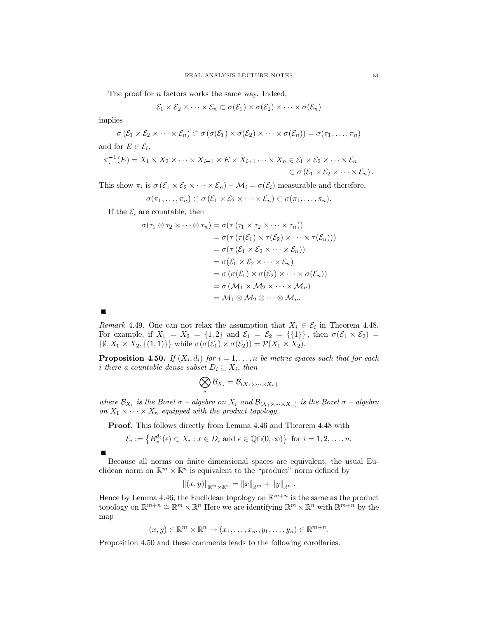The proof for  $n$  factors works the same way. Indeed,

$$
\mathcal{E}_1 \times \mathcal{E}_2 \times \cdots \times \mathcal{E}_n \subset \sigma(\mathcal{E}_1) \times \sigma(\mathcal{E}_2) \times \cdots \times \sigma(\mathcal{E}_n)
$$

implies

$$
\sigma(\mathcal{E}_1 \times \mathcal{E}_2 \times \cdots \times \mathcal{E}_n) \subset \sigma(\sigma(\mathcal{E}_1) \times \sigma(\mathcal{E}_2) \times \cdots \times \sigma(\mathcal{E}_n)) = \sigma(\pi_1, \ldots, \pi_n)
$$
  
and for  $E \in \mathcal{E}_i$ ,

$$
\pi_i^{-1}(E) = X_1 \times X_2 \times \cdots \times X_{i-1} \times E \times X_{i+1} \cdots \times X_n \in \mathcal{E}_1 \times \mathcal{E}_2 \times \cdots \times \mathcal{E}_n
$$
  

$$
\subset \sigma(\mathcal{E}_1 \times \mathcal{E}_2 \times \cdots \times \mathcal{E}_n).
$$

This show  $\pi_i$  is  $\sigma(\mathcal{E}_1 \times \mathcal{E}_2 \times \cdots \times \mathcal{E}_n) - \mathcal{M}_i = \sigma(\mathcal{E}_i)$  measurable and therefore,

$$
\sigma(\pi_1,\ldots,\pi_n)\subset \sigma(\mathcal{E}_1\times\mathcal{E}_2\times\cdots\times\mathcal{E}_n)\subset \sigma(\pi_1,\ldots,\pi_n).
$$

If the  $\mathcal{E}_i$  are countable, then

$$
\sigma(\tau_1 \otimes \tau_2 \otimes \cdots \otimes \tau_n) = \sigma(\tau (\tau_1 \times \tau_2 \times \cdots \times \tau_n))
$$
  
\n
$$
= \sigma(\tau (\tau(\mathcal{E}_1) \times \tau(\mathcal{E}_2) \times \cdots \times \tau(\mathcal{E}_n)))
$$
  
\n
$$
= \sigma(\tau (\mathcal{E}_1 \times \mathcal{E}_2 \times \cdots \times \mathcal{E}_n))
$$
  
\n
$$
= \sigma(\mathcal{E}_1 \times \mathcal{E}_2 \times \cdots \times \mathcal{E}_n)
$$
  
\n
$$
= \sigma(\sigma(\mathcal{E}_1) \times \sigma(\mathcal{E}_2) \times \cdots \times \sigma(\mathcal{E}_n))
$$
  
\n
$$
= \sigma(\mathcal{M}_1 \times \mathcal{M}_2 \times \cdots \times \mathcal{M}_n)
$$
  
\n
$$
= \mathcal{M}_1 \otimes \mathcal{M}_2 \otimes \cdots \otimes \mathcal{M}_n.
$$

 $\blacksquare$ 

Remark 4.49. One can not relax the assumption that  $X_i \in \mathcal{E}_i$  in Theorem 4.48. For example, if  $X_1 = X_2 = \{1,2\}$  and  $\mathcal{E}_1 = \mathcal{E}_2 = \{\{1\}\}\$ , then  $\sigma(\mathcal{E}_1 \times \mathcal{E}_2) =$  $\{\emptyset, X_1 \times X_2, \{(1,1)\}\}\$ while  $\sigma(\sigma(\mathcal{E}_1) \times \sigma(\mathcal{E}_2)) = \mathcal{P}(X_1 \times X_2).$ 

**Proposition 4.50.** If  $(X_i, d_i)$  for  $i = 1, ..., n$  be metric spaces such that for each *i* there a countable dense subset  $D_i \subseteq X_i$ , then

$$
\bigotimes_i \mathcal{B}_{X_i} = \mathcal{B}_{(X_1 \times \cdots \times X_n)}
$$

where  $\mathcal{B}_{X_i}$  is the Borel  $\sigma$  – algebra on  $X_i$  and  $\mathcal{B}_{(X_1 \times \cdots \times X_n)}$  is the Borel  $\sigma$  – algebra on  $X_1 \times \cdots \times X_n$  equipped with the product topology.

Proof. This follows directly from Lemma 4.46 and Theorem 4.48 with

$$
\mathcal{E}_i := \left\{ B_x^{d_i}(\epsilon) \subset X_i : x \in D_i \text{ and } \epsilon \in \mathbb{Q} \cap (0, \infty) \right\} \text{ for } i = 1, 2, \dots, n
$$

Because all norms on finite dimensional spaces are equivalent, the usual Euclidean norm on  $\mathbb{R}^m \times \mathbb{R}^n$  is equivalent to the "product" norm defined by

$$
||(x,y)||_{\mathbb{R}^m\times\mathbb{R}^n} = ||x||_{\mathbb{R}^m} + ||y||_{\mathbb{R}^n}.
$$

Hence by Lemma 4.46, the Euclidean topology on  $\mathbb{R}^{m+n}$  is the same as the product topology on  $\mathbb{R}^{m+n} \cong \mathbb{R}^m \times \mathbb{R}^n$  Here we are identifying  $\mathbb{R}^m \times \mathbb{R}^n$  with  $\mathbb{R}^{m+n}$  by the map

$$
(x, y) \in \mathbb{R}^m \times \mathbb{R}^n \to (x_1, \ldots, x_m, y_1, \ldots, y_n) \in \mathbb{R}^{m+n}.
$$

Proposition 4.50 and these comments leads to the following corollaries.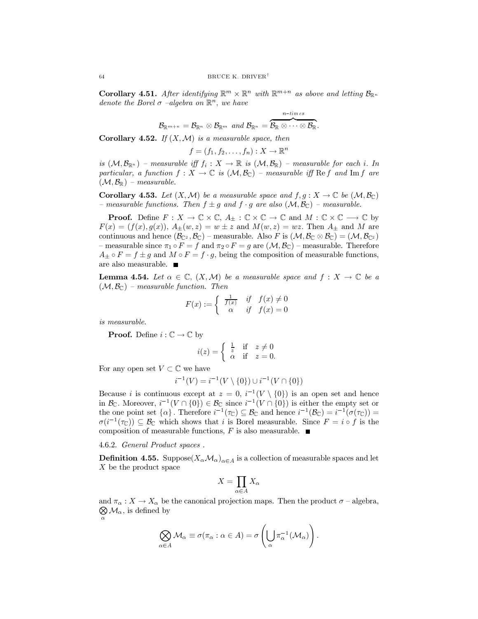**Corollary 4.51.** After identifying  $\mathbb{R}^m \times \mathbb{R}^n$  with  $\mathbb{R}^{m+n}$  as above and letting  $\mathcal{B}_{\mathbb{R}^n}$ denote the Borel  $\sigma$  -algebra on  $\mathbb{R}^n$ , we have

$$
\mathcal{B}_{\mathbb{R}^{m+n}}=\mathcal{B}_{\mathbb{R}^n}\otimes\mathcal{B}_{\mathbb{R}^m} \ \ and \ \mathcal{B}_{\mathbb{R}^n}=\overbrace{\mathcal{B}_{\mathbb{R}}\otimes\cdots\otimes\mathcal{B}_{\mathbb{R}} }^{n-times}.
$$

**Corollary 4.52.** If  $(X, \mathcal{M})$  is a measurable space, then

$$
f=(f_1,f_2,\ldots,f_n):X\to\mathbb{R}^n
$$

is  $(\mathcal{M}, \mathcal{B}_{\mathbb{R}^n})$  – measurable iff  $f_i : X \to \mathbb{R}$  is  $(\mathcal{M}, \mathcal{B}_{\mathbb{R}})$  – measurable for each i. In particular, a function  $f : X \to \mathbb{C}$  is  $(\mathcal{M}, \mathcal{B}_{\mathbb{C}})$  – measurable iff Ref and Imf are  $(\mathcal{M}, \mathcal{B}_{\mathbb{R}})$  – measurable.

**Corollary 4.53.** Let  $(X, \mathcal{M})$  be a measurable space and  $f, g: X \to \mathbb{C}$  be  $(\mathcal{M}, \mathcal{B}_{\mathbb{C}})$ - measurable functions. Then  $f \pm g$  and  $f \cdot g$  are also  $(\mathcal{M}, \mathcal{B}_{\mathbb{C}})$  - measurable.

**Proof.** Define  $F: X \to \mathbb{C} \times \mathbb{C}$ ,  $A_{\pm} : \mathbb{C} \times \mathbb{C} \to \mathbb{C}$  and  $M: \mathbb{C} \times \mathbb{C} \to \mathbb{C}$  by  $F(x) = (f(x), g(x)), A_{\pm}(w, z) = w \pm z$  and  $M(w, z) = wz$ . Then  $A_{\pm}$  and M are continuous and hence  $(\mathcal{B}_{\mathbb{C}^2}, \mathcal{B}_{\mathbb{C}})$  – measurable. Also F is  $(\mathcal{M}, \mathcal{B}_{\mathbb{C}} \otimes \mathcal{B}_{\mathbb{C}}) = (\mathcal{M}, \mathcal{B}_{\mathbb{C}^2})$ phonon-measurable since  $\pi_1 \circ F = f$  and  $\pi_2 \circ F = g$  are  $(\mathcal{M}, \mathcal{B}_{\mathbb{C}})$  - measurable. Therefore  $A_+ \circ F = f \pm g$  and  $M \circ F = f \cdot g$ , being the composition of measurable functions, are also measurable.  $\blacksquare$ 

**Lemma 4.54.** Let  $\alpha \in \mathbb{C}$ ,  $(X, \mathcal{M})$  be a measurable space and  $f : X \to \mathbb{C}$  be a  $(\mathcal{M}, \mathcal{B}_{\mathbb{C}})$  – measurable function. Then

$$
F(x) := \begin{cases} \frac{1}{f(x)} & \text{if } f(x) \neq 0\\ \alpha & \text{if } f(x) = 0 \end{cases}
$$

is measurable.

**Proof.** Define  $i: \mathbb{C} \to \mathbb{C}$  by

$$
i(z) = \begin{cases} \frac{1}{z} & \text{if } z \neq 0\\ \alpha & \text{if } z = 0. \end{cases}
$$

For any open set  $V \subset \mathbb{C}$  we have

$$
i^{-1}(V) = i^{-1}(V \setminus \{0\}) \cup i^{-1}(V \cap \{0\})
$$

Because *i* is continuous except at  $z = 0$ ,  $i^{-1}(V \setminus \{0\})$  is an open set and hence in  $\mathcal{B}_{\mathbb{C}}$ . Moreover,  $i^{-1}(V \cap \{0\}) \in \mathcal{B}_{\mathbb{C}}$  since  $i^{-1}(V \cap \{0\})$  is either the empty set or the one point set  $\{\alpha\}$ . Therefore  $i^{-1}(\tau_{\mathbb{C}}) \subseteq \mathcal{B}_{\mathbb{C}}$  and hence  $i^{-1}(\mathcal{B}_{\mathbb{C}}) = i^{-1}(\sigma(\tau_{\mathbb{C}}))$  $\sigma(i^{-1}(\tau_{\mathbb{C}})) \subseteq \mathcal{B}_{\mathbb{C}}$  which shows that i is Borel measurable. Since  $F = i \circ f$  is the composition of measurable functions, F is also measurable.  $\blacksquare$ 

### 4.6.2. General Product spaces.

**Definition 4.55.** Suppose $(X_\alpha \mathcal{M}_\alpha)_{\alpha \in A}$  is a collection of measurable spaces and let  $X$  be the product space

$$
X = \prod_{\alpha \in A} X_{\alpha}
$$

 $\bigotimes_{\alpha}$  M<sub> $\alpha$ </sub>, is defined by and  $\pi_{\alpha}: X \to X_{\alpha}$  be the canonical projection maps. Then the product  $\sigma$  – algebra,

$$
\bigotimes_{\alpha \in A} \mathcal{M}_{\alpha} \equiv \sigma(\pi_{\alpha} : \alpha \in A) = \sigma\left(\bigcup_{\alpha} \pi_{\alpha}^{-1}(\mathcal{M}_{\alpha})\right).
$$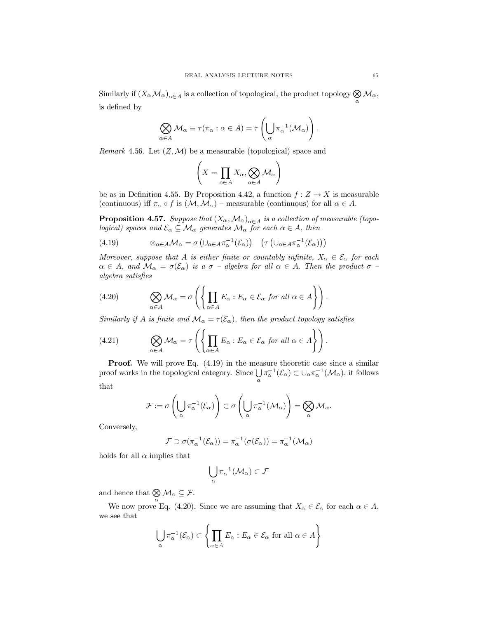Similarly if  $(X_\alpha \mathcal{M}_\alpha)_{\alpha \in A}$  is a collection of topological, the product topology  $\bigotimes_\alpha \mathcal{M}_\alpha$ , is defined by

$$
\bigotimes_{\alpha \in A} \mathcal{M}_{\alpha} \equiv \tau(\pi_{\alpha} : \alpha \in A) = \tau \left( \bigcup_{\alpha} \pi_{\alpha}^{-1}(\mathcal{M}_{\alpha}) \right).
$$

Remark 4.56. Let  $(Z, \mathcal{M})$  be a measurable (topological) space and

$$
\left(X=\prod_{\alpha\in A}X_{\alpha},\bigotimes_{\alpha\in A}\mathcal{M}_{\alpha}\right)
$$

be as in Definition 4.55. By Proposition 4.42, a function  $f: Z \to X$  is measurable (continuous) iff  $\pi_\alpha \circ f$  is  $(\mathcal{M}, \mathcal{M}_\alpha)$  – measurable (continuous) for all  $\alpha \in A$ .

**Proposition 4.57.** Suppose that  $(X_\alpha, \mathcal{M}_\alpha)_{\alpha \in A}$  is a collection of measurable (topological) spaces and  $\mathcal{E}_{\alpha} \subseteq \mathcal{M}_{\alpha}$  generates  $\mathcal{M}_{\alpha}$  for each  $\alpha \in A$ , then

(4.19) 
$$
\otimes_{\alpha \in A} \mathcal{M}_{\alpha} = \sigma \left( \cup_{\alpha \in A} \pi_{\alpha}^{-1} (\mathcal{E}_{\alpha}) \right) \quad \left( \tau \left( \cup_{\alpha \in A} \pi_{\alpha}^{-1} (\mathcal{E}_{\alpha}) \right) \right)
$$

Moreover, suppose that A is either finite or countably infinite,  $X_{\alpha} \in \mathcal{E}_{\alpha}$  for each  $\alpha \in A$ , and  $\mathcal{M}_{\alpha} = \sigma(\mathcal{E}_{\alpha})$  is a  $\sigma$  - algebra for all  $\alpha \in A$ . Then the product  $\sigma$  algebra satisfies

(4.20) 
$$
\bigotimes_{\alpha \in A} \mathcal{M}_{\alpha} = \sigma \left( \left\{ \prod_{\alpha \in A} E_{\alpha} : E_{\alpha} \in \mathcal{E}_{\alpha} \text{ for all } \alpha \in A \right\} \right).
$$

Similarly if A is finite and  $\mathcal{M}_{\alpha} = \tau(\mathcal{E}_{\alpha})$ , then the product topology satisfies

(4.21) 
$$
\bigotimes_{\alpha \in A} \mathcal{M}_{\alpha} = \tau \left( \left\{ \prod_{\alpha \in A} E_{\alpha} : E_{\alpha} \in \mathcal{E}_{\alpha} \text{ for all } \alpha \in A \right\} \right).
$$

**Proof.** We will prove Eq.  $(4.19)$  in the measure theoretic case since a similar proof works in the topological category. Since  $\bigcup_{\alpha} \pi_{\alpha}^{-1}(\mathcal{E}_{\alpha}) \subset \cup_{\alpha} \pi_{\alpha}^{-1}(\mathcal{M}_{\alpha})$ , it follows that

$$
\mathcal{F}:=\sigma\left(\bigcup_{\alpha}\pi_{\alpha}^{-1}(\mathcal{E}_{\alpha})\right)\subset \sigma\left(\bigcup_{\alpha}\pi_{\alpha}^{-1}(\mathcal{M}_{\alpha})\right)=\bigotimes_{\alpha}\mathcal{M}_{\alpha}.
$$

Conversely,

$$
\mathcal{F} \supset \sigma(\pi_{\alpha}^{-1}(\mathcal{E}_{\alpha})) = \pi_{\alpha}^{-1}(\sigma(\mathcal{E}_{\alpha})) = \pi_{\alpha}^{-1}(\mathcal{M}_{\alpha})
$$

holds for all  $\alpha$  implies that

$$
\bigcup_\alpha \pi_\alpha^{-1}(\mathcal{M}_\alpha) \subset \mathcal{F}
$$

and hence that  $\bigotimes_{\alpha} \mathcal{M}_{\alpha} \subseteq \mathcal{F}.$ 

We now prove Eq. (4.20). Since we are assuming that  $X_{\alpha} \in \mathcal{E}_{\alpha}$  for each  $\alpha \in A$ , we see that

$$
\bigcup_{\alpha} \pi_{\alpha}^{-1}(\mathcal{E}_{\alpha}) \subset \left\{ \prod_{\alpha \in A} E_{\alpha} : E_{\alpha} \in \mathcal{E}_{\alpha} \text{ for all } \alpha \in A \right\}
$$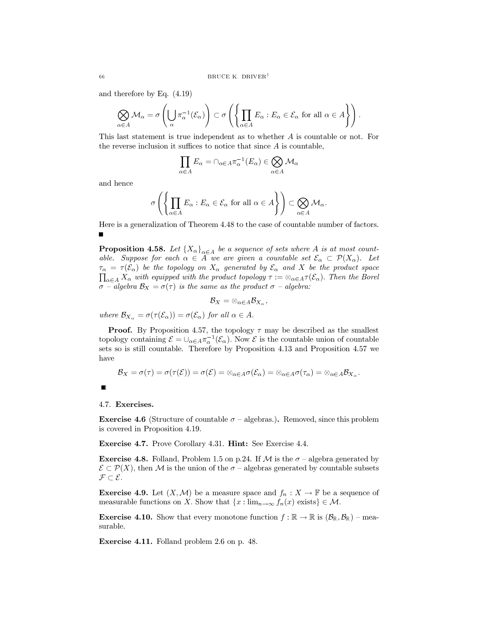and therefore by Eq.  $(4.19)$ 

$$
\bigotimes_{\alpha \in A} \mathcal{M}_{\alpha} = \sigma \left( \bigcup_{\alpha} \pi_{\alpha}^{-1}(\mathcal{E}_{\alpha}) \right) \subset \sigma \left( \left\{ \prod_{\alpha \in A} E_{\alpha} : E_{\alpha} \in \mathcal{E}_{\alpha} \text{ for all } \alpha \in A \right\} \right).
$$

This last statement is true independent as to whether  $A$  is countable or not. For the reverse inclusion it suffices to notice that since  $A$  is countable,

$$
\prod_{\alpha \in A} E_{\alpha} = \cap_{\alpha \in A} \pi_{\alpha}^{-1}(E_{\alpha}) \in \bigotimes_{\alpha \in A} \mathcal{M}_{\alpha}
$$

and hence

$$
\sigma\left(\left\{\prod_{\alpha\in A}E_{\alpha}: E_{\alpha}\in \mathcal{E}_{\alpha} \text{ for all } \alpha\in A\right\}\right)\subset \bigotimes_{\alpha\in A}\mathcal{M}_{\alpha}.
$$

Here is a generalization of Theorem 4.48 to the case of countable number of factors.

**Proposition 4.58.** Let  ${X_{\alpha}}_{\alpha \in A}$  be a sequence of sets where A is at most countable. Suppose for each  $\alpha \in A$  we are given a countable set  $\mathcal{E}_{\alpha} \subset \mathcal{P}(X_{\alpha})$ . Let  $\tau_{\alpha} = \tau(\mathcal{E}_{\alpha})$  be the topology on  $X_{\alpha}$  generated by  $\mathcal{E}_{\alpha}$  and X be the product space  $\prod_{\alpha\in A}X_{\alpha}$  with equipped with the product topology  $\tau:=\otimes_{\alpha\in A}\tau(\mathcal{E}_{\alpha})$ . Then the Borel  $\sigma$  – algebra  $\mathcal{B}_X = \sigma(\tau)$  is the same as the product  $\sigma$  – algebra:

$$
\mathcal{B}_X=\otimes_{\alpha\in A}\mathcal{B}_{X_\alpha},
$$

where  $\mathcal{B}_{X_{\alpha}} = \sigma(\tau(\mathcal{E}_{\alpha})) = \sigma(\mathcal{E}_{\alpha})$  for all  $\alpha \in A$ .

**Proof.** By Proposition 4.57, the topology  $\tau$  may be described as the smallest topology containing  $\mathcal{E} = \bigcup_{\alpha \in A} \pi_{\alpha}^{-1}(\mathcal{E}_{\alpha})$ . Now  $\mathcal{E}$  is the countable union of countable sets so is still countable. Therefore by Proposition 4.13 and Proposition 4.57 we have

$$
\mathcal{B}_X=\sigma(\tau)=\sigma(\tau(\mathcal{E}))=\sigma(\mathcal{E})=\otimes_{\alpha\in A}\sigma(\mathcal{E}_{\alpha})=\otimes_{\alpha\in A}\sigma(\tau_{\alpha})=\otimes_{\alpha\in A}\mathcal{B}_{X_{\alpha}}.
$$

4.7. Exercises.

**Exercise 4.6** (Structure of countable  $\sigma$  – algebras.). Removed, since this problem is covered in Proposition 4.19.

**Exercise 4.7.** Prove Corollary 4.31. **Hint:** See Exercise 4.4.

**Exercise 4.8.** Folland, Problem 1.5 on p.24. If M is the  $\sigma$  – algebra generated by  $\mathcal{E} \subset \mathcal{P}(X)$ , then M is the union of the  $\sigma$  – algebras generated by countable subsets  $\mathcal{F} \subset \mathcal{E}.$ 

**Exercise 4.9.** Let  $(X, \mathcal{M})$  be a measure space and  $f_n : X \to \mathbb{F}$  be a sequence of measurable functions on X. Show that  $\{x : \lim_{n \to \infty} f_n(x) \text{ exists}\}\in \mathcal{M}.$ 

**Exercise 4.10.** Show that every monotone function  $f : \mathbb{R} \to \mathbb{R}$  is  $(\mathcal{B}_{\mathbb{R}}, \mathcal{B}_{\mathbb{R}})$  – measurable.

Exercise 4.11. Folland problem 2.6 on p. 48.

66